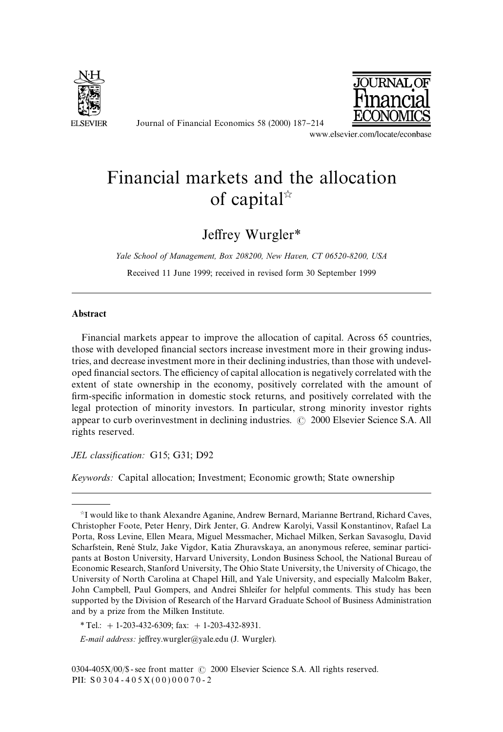

Journal of Financial Economics 58 (2000) 187-214



www.elsevier.com/locate/econbase

# Financial markets and the allocation of capital $\mathbb{R}$

# Jeffrey Wurgler\*

*Yale School of Management, Box 208200, New Haven, CT 06520-8200, USA*

Received 11 June 1999; received in revised form 30 September 1999

### Abstract

Financial markets appear to improve the allocation of capital. Across 65 countries, those with developed financial sectors increase investment more in their growing industries, and decrease investment more in their declining industries, than those with undeveloped financial sectors. The efficiency of capital allocation is negatively correlated with the extent of state ownership in the economy, positively correlated with the amount of firm-specific information in domestic stock returns, and positively correlated with the legal protection of minority investors. In particular, strong minority investor rights appear to curb overinvestment in declining industries.  $\odot$  2000 Elsevier Science S.A. All rights reserved.

*JEL classification:* G15; G31; D92

*Keywords:* Capital allocation; Investment; Economic growth; State ownership

 $\dot{\gamma}$ I would like to thank Alexandre Aganine, Andrew Bernard, Marianne Bertrand, Richard Caves, Christopher Foote, Peter Henry, Dirk Jenter, G. Andrew Karolyi, Vassil Konstantinov, Rafael La Porta, Ross Levine, Ellen Meara, Miguel Messmacher, Michael Milken, Serkan Savasoglu, David Scharfstein, René Stulz, Jake Vigdor, Katia Zhuravskaya, an anonymous referee, seminar participants at Boston University, Harvard University, London Business School, the National Bureau of Economic Research, Stanford University, The Ohio State University, the University of Chicago, the University of North Carolina at Chapel Hill, and Yale University, and especially Malcolm Baker, John Campbell, Paul Gompers, and Andrei Shleifer for helpful comments. This study has been supported by the Division of Research of the Harvard Graduate School of Business Administration and by a prize from the Milken Institute.

*<sup>\*</sup>*Tel.: #1-203-432-6309; fax: #1-203-432-8931.

*E-mail address:* jeffrey.wurgler@yale.edu (J. Wurgler).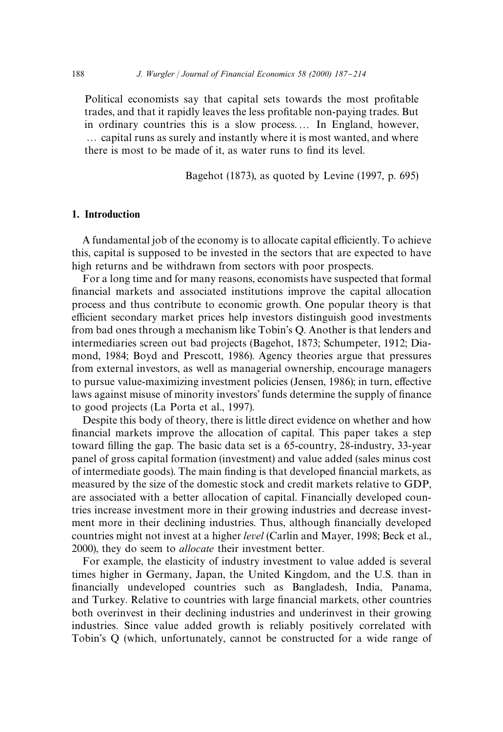Political economists say that capital sets towards the most profitable trades, and that it rapidly leaves the less profitable non-paying trades. But in ordinary countries this is a slow process.... In England, however, ... capital runs as surely and instantly where it is most wanted, and where there is most to be made of it, as water runs to find its level.

Bagehot (1873), as quoted by Levine (1997, p. 695)

#### 1. Introduction

A fundamental job of the economy is to allocate capital efficiently. To achieve this, capital is supposed to be invested in the sectors that are expected to have high returns and be withdrawn from sectors with poor prospects.

For a long time and for many reasons, economists have suspected that formal financial markets and associated institutions improve the capital allocation process and thus contribute to economic growth. One popular theory is that efficient secondary market prices help investors distinguish good investments from bad ones through a mechanism like Tobin's Q. Another is that lenders and intermediaries screen out bad projects (Bagehot, 1873; Schumpeter, 1912; Diamond, 1984; Boyd and Prescott, 1986). Agency theories argue that pressures from external investors, as well as managerial ownership, encourage managers to pursue value-maximizing investment policies (Jensen, 1986); in turn, effective laws against misuse of minority investors' funds determine the supply of finance to good projects (La Porta et al., 1997).

Despite this body of theory, there is little direct evidence on whether and how financial markets improve the allocation of capital. This paper takes a step toward filling the gap. The basic data set is a 65-country, 28-industry, 33-year panel of gross capital formation (investment) and value added (sales minus cost of intermediate goods). The main finding is that developed financial markets, as measured by the size of the domestic stock and credit markets relative to GDP, are associated with a better allocation of capital. Financially developed countries increase investment more in their growing industries and decrease investment more in their declining industries. Thus, although financially developed countries might not invest at a higher *level* (Carlin and Mayer, 1998; Beck et al., 2000), they do seem to *allocate* their investment better.

For example, the elasticity of industry investment to value added is several times higher in Germany, Japan, the United Kingdom, and the U.S. than in financially undeveloped countries such as Bangladesh, India, Panama, and Turkey. Relative to countries with large financial markets, other countries both overinvest in their declining industries and underinvest in their growing industries. Since value added growth is reliably positively correlated with Tobin's Q (which, unfortunately, cannot be constructed for a wide range of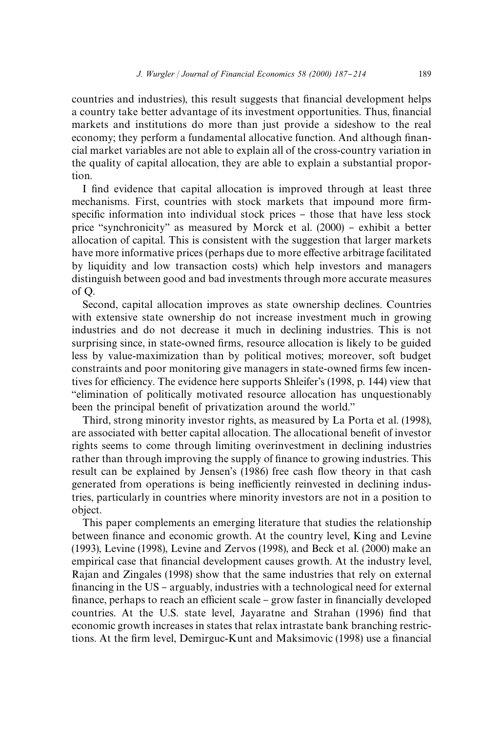countries and industries), this result suggests that financial development helps a country take better advantage of its investment opportunities. Thus, financial markets and institutions do more than just provide a sideshow to the real economy; they perform a fundamental allocative function. And although financial market variables are not able to explain all of the cross-country variation in the quality of capital allocation, they are able to explain a substantial proportion.

I find evidence that capital allocation is improved through at least three mechanisms. First, countries with stock markets that impound more firmspecific information into individual stock prices - those that have less stock price "synchronicity" as measured by Morck et al.  $(2000)$  – exhibit a better allocation of capital. This is consistent with the suggestion that larger markets have more informative prices (perhaps due to more effective arbitrage facilitated by liquidity and low transaction costs) which help investors and managers distinguish between good and bad investments through more accurate measures of Q.

Second, capital allocation improves as state ownership declines. Countries with extensive state ownership do not increase investment much in growing industries and do not decrease it much in declining industries. This is not surprising since, in state-owned firms, resource allocation is likely to be guided less by value-maximization than by political motives; moreover, soft budget constraints and poor monitoring give managers in state-owned firms few incentives for efficiency. The evidence here supports Shleifer's (1998, p. 144) view that `elimination of politically motivated resource allocation has unquestionably been the principal benefit of privatization around the world."

Third, strong minority investor rights, as measured by La Porta et al. (1998), are associated with better capital allocation. The allocational benefit of investor rights seems to come through limiting overinvestment in declining industries rather than through improving the supply of finance to growing industries. This result can be explained by Jensen's (1986) free cash flow theory in that cash generated from operations is being inefficiently reinvested in declining industries, particularly in countries where minority investors are not in a position to object.

This paper complements an emerging literature that studies the relationship between finance and economic growth. At the country level, King and Levine (1993), Levine (1998), Levine and Zervos (1998), and Beck et al. (2000) make an empirical case that financial development causes growth. At the industry level, Rajan and Zingales (1998) show that the same industries that rely on external financing in the US - arguably, industries with a technological need for external finance, perhaps to reach an efficient scale – grow faster in financially developed countries. At the U.S. state level, Jayaratne and Strahan (1996) find that economic growth increases in states that relax intrastate bank branching restrictions. At the firm level, Demirguc-Kunt and Maksimovic (1998) use a financial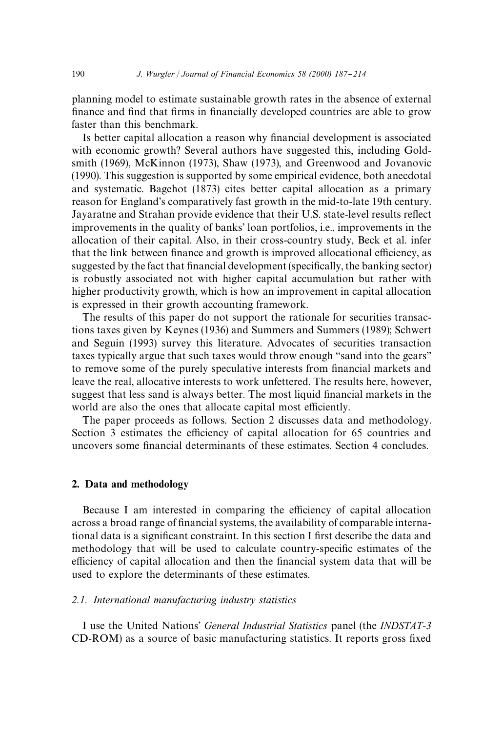planning model to estimate sustainable growth rates in the absence of external finance and find that firms in financially developed countries are able to grow faster than this benchmark.

Is better capital allocation a reason why financial development is associated with economic growth? Several authors have suggested this, including Goldsmith (1969), McKinnon (1973), Shaw (1973), and Greenwood and Jovanovic (1990). This suggestion is supported by some empirical evidence, both anecdotal and systematic. Bagehot (1873) cites better capital allocation as a primary reason for England's comparatively fast growth in the mid-to-late 19th century. Jayaratne and Strahan provide evidence that their U.S. state-level results reflect improvements in the quality of banks' loan portfolios, i.e., improvements in the allocation of their capital. Also, in their cross-country study, Beck et al. infer that the link between finance and growth is improved allocational efficiency, as suggested by the fact that financial development (specifically, the banking sector) is robustly associated not with higher capital accumulation but rather with higher productivity growth, which is how an improvement in capital allocation is expressed in their growth accounting framework.

The results of this paper do not support the rationale for securities transactions taxes given by Keynes (1936) and Summers and Summers (1989); Schwert and Seguin (1993) survey this literature. Advocates of securities transaction taxes typically argue that such taxes would throw enough "sand into the gears" to remove some of the purely speculative interests from financial markets and leave the real, allocative interests to work unfettered. The results here, however, suggest that less sand is always better. The most liquid financial markets in the world are also the ones that allocate capital most efficiently.

The paper proceeds as follows. Section 2 discusses data and methodology. Section 3 estimates the efficiency of capital allocation for 65 countries and uncovers some financial determinants of these estimates. Section 4 concludes.

#### 2. Data and methodology

Because I am interested in comparing the efficiency of capital allocation across a broad range of financial systems, the availability of comparable international data is a significant constraint. In this section I first describe the data and methodology that will be used to calculate country-specific estimates of the efficiency of capital allocation and then the financial system data that will be used to explore the determinants of these estimates.

#### *2.1. International manufacturing industry statistics*

I use the United Nations' *General Industrial Statistics* panel (the *INDSTAT-3* CD-ROM) as a source of basic manufacturing statistics. It reports gross fixed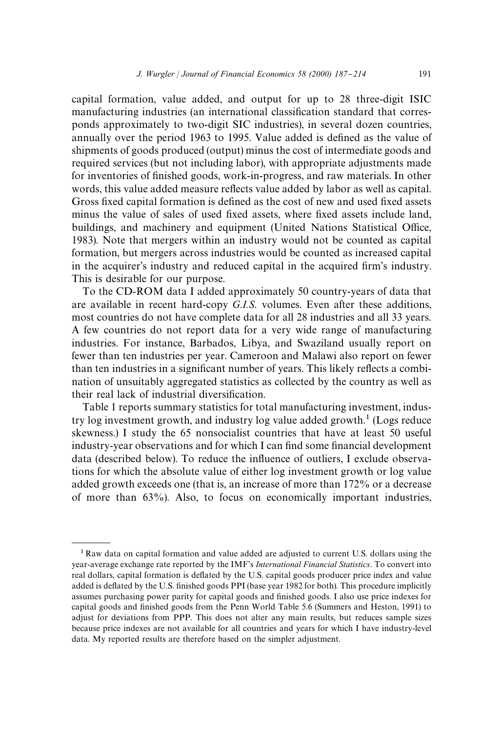capital formation, value added, and output for up to 28 three-digit ISIC manufacturing industries (an international classification standard that corresponds approximately to two-digit SIC industries), in several dozen countries, annually over the period 1963 to 1995. Value added is defined as the value of shipments of goods produced (output) minus the cost of intermediate goods and required services (but not including labor), with appropriate adjustments made for inventories of finished goods, work-in-progress, and raw materials. In other words, this value added measure reflects value added by labor as well as capital. Gross fixed capital formation is defined as the cost of new and used fixed assets minus the value of sales of used fixed assets, where fixed assets include land, buildings, and machinery and equipment (United Nations Statistical Office, 1983). Note that mergers within an industry would not be counted as capital formation, but mergers across industries would be counted as increased capital in the acquirer's industry and reduced capital in the acquired firm's industry. This is desirable for our purpose.

To the CD-ROM data I added approximately 50 country-years of data that are available in recent hard-copy *G.I.S*. volumes. Even after these additions, most countries do not have complete data for all 28 industries and all 33 years. A few countries do not report data for a very wide range of manufacturing industries. For instance, Barbados, Libya, and Swaziland usually report on fewer than ten industries per year. Cameroon and Malawi also report on fewer than ten industries in a significant number of years. This likely reflects a combination of unsuitably aggregated statistics as collected by the country as well as their real lack of industrial diversification.

Table 1 reports summary statistics for total manufacturing investment, industry log investment growth, and industry log value added growth.<sup>1</sup> (Logs reduce skewness.) I study the 65 nonsocialist countries that have at least 50 useful industry-year observations and for which I can find some financial development data (described below). To reduce the influence of outliers, I exclude observations for which the absolute value of either log investment growth or log value added growth exceeds one (that is, an increase of more than 172% or a decrease of more than 63%). Also, to focus on economically important industries,

<sup>1</sup> Raw data on capital formation and value added are adjusted to current U.S. dollars using the year-average exchange rate reported by the IMF's *International Financial Statistics*. To convert into real dollars, capital formation is deflated by the U.S. capital goods producer price index and value added is deflated by the U.S. finished goods PPI (base year 1982 for both). This procedure implicitly assumes purchasing power parity for capital goods and finished goods. I also use price indexes for capital goods and finished goods from the Penn World Table 5.6 (Summers and Heston, 1991) to adjust for deviations from PPP. This does not alter any main results, but reduces sample sizes because price indexes are not available for all countries and years for which I have industry-level data. My reported results are therefore based on the simpler adjustment.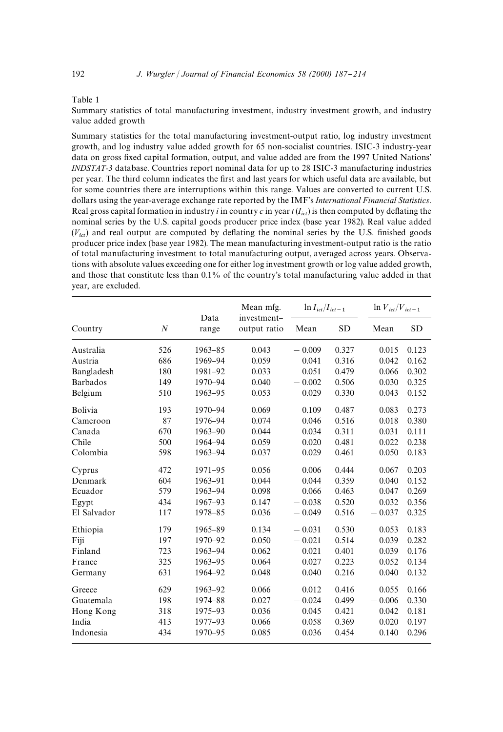#### Table 1

Summary statistics of total manufacturing investment, industry investment growth, and industry value added growth

Summary statistics for the total manufacturing investment-output ratio, log industry investment growth, and log industry value added growth for 65 non-socialist countries. ISIC-3 industry-year data on gross fixed capital formation, output, and value added are from the 1997 United Nations' *INDSTAT-3* database. Countries report nominal data for up to 28 ISIC-3 manufacturing industries per year. The third column indicates the first and last years for which useful data are available, but for some countries there are interruptions within this range. Values are converted to current U.S. dollars using the year-average exchange rate reported by the IMF's *International Financial Statistics*. Real gross capital formation in industry *i* in country *c* in year  $t(I_{ict})$  is then computed by deflating the nominal series by the U.S. capital goods producer price index (base year 1982). Real value added  $(V_{ict})$  and real output are computed by deflating the nominal series by the U.S. finished goods producer price index (base year 1982). The mean manufacturing investment-output ratio is the ratio of total manufacturing investment to total manufacturing output, averaged across years. Observations with absolute values exceeding one for either log investment growth or log value added growth, and those that constitute less than 0.1% of the country's total manufacturing value added in that year, are excluded.

|                 |                  | Data        | Mean mfg.<br>investment- | $\ln I_{ict}/I_{ict-1}$ |       | $\ln V_{ict}/V_{ict-1}$ |           |
|-----------------|------------------|-------------|--------------------------|-------------------------|-------|-------------------------|-----------|
| Country         | $\boldsymbol{N}$ | range       | output ratio             | Mean                    | SD    | Mean                    | <b>SD</b> |
| Australia       | 526              | $1963 - 85$ | 0.043                    | $-0.009$                | 0.327 | 0.015                   | 0.123     |
| Austria         | 686              | 1969-94     | 0.059                    | 0.041                   | 0.316 | 0.042                   | 0.162     |
| Bangladesh      | 180              | 1981-92     | 0.033                    | 0.051                   | 0.479 | 0.066                   | 0.302     |
| <b>Barbados</b> | 149              | 1970-94     | 0.040                    | $-0.002$                | 0.506 | 0.030                   | 0.325     |
| Belgium         | 510              | 1963-95     | 0.053                    | 0.029                   | 0.330 | 0.043                   | 0.152     |
| Bolivia         | 193              | 1970-94     | 0.069                    | 0.109                   | 0.487 | 0.083                   | 0.273     |
| Cameroon        | 87               | 1976-94     | 0.074                    | 0.046                   | 0.516 | 0.018                   | 0.380     |
| Canada          | 670              | $1963 - 90$ | 0.044                    | 0.034                   | 0.311 | 0.031                   | 0.111     |
| Chile           | 500              | 1964-94     | 0.059                    | 0.020                   | 0.481 | 0.022                   | 0.238     |
| Colombia        | 598              | 1963-94     | 0.037                    | 0.029                   | 0.461 | 0.050                   | 0.183     |
| Cyprus          | 472              | 1971-95     | 0.056                    | 0.006                   | 0.444 | 0.067                   | 0.203     |
| Denmark         | 604              | 1963-91     | 0.044                    | 0.044                   | 0.359 | 0.040                   | 0.152     |
| Ecuador         | 579              | 1963-94     | 0.098                    | 0.066                   | 0.463 | 0.047                   | 0.269     |
| Egypt           | 434              | 1967-93     | 0.147                    | $-0.038$                | 0.520 | 0.032                   | 0.356     |
| El Salvador     | 117              | 1978-85     | 0.036                    | $-0.049$                | 0.516 | $-0.037$                | 0.325     |
| Ethiopia        | 179              | 1965-89     | 0.134                    | $-0.031$                | 0.530 | 0.053                   | 0.183     |
| Fiji            | 197              | 1970-92     | 0.050                    | $-0.021$                | 0.514 | 0.039                   | 0.282     |
| Finland         | 723              | 1963-94     | 0.062                    | 0.021                   | 0.401 | 0.039                   | 0.176     |
| France          | 325              | $1963 - 95$ | 0.064                    | 0.027                   | 0.223 | 0.052                   | 0.134     |
| Germany         | 631              | 1964-92     | 0.048                    | 0.040                   | 0.216 | 0.040                   | 0.132     |
| Greece          | 629              | 1963-92     | 0.066                    | 0.012                   | 0.416 | 0.055                   | 0.166     |
| Guatemala       | 198              | 1974-88     | 0.027                    | $-0.024$                | 0.499 | $-0.006$                | 0.330     |
| Hong Kong       | 318              | 1975-93     | 0.036                    | 0.045                   | 0.421 | 0.042                   | 0.181     |
| India           | 413              | 1977-93     | 0.066                    | 0.058                   | 0.369 | 0.020                   | 0.197     |
| Indonesia       | 434              | 1970-95     | 0.085                    | 0.036                   | 0.454 | 0.140                   | 0.296     |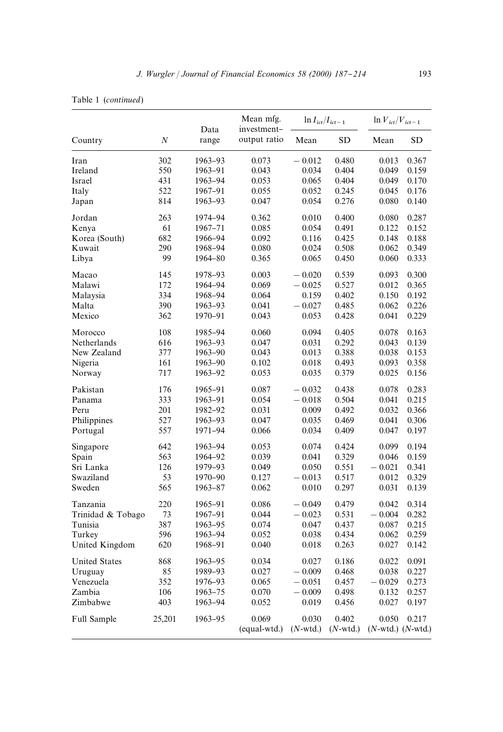|                      |          |               | Mean mfg.                   | $\ln I_{ict}/I_{ict-1}$ |             | $\ln V_{ict}/V_{ict-1}$ |           |
|----------------------|----------|---------------|-----------------------------|-------------------------|-------------|-------------------------|-----------|
| Country              | $\cal N$ | Data<br>range | investment-<br>output ratio | Mean                    | <b>SD</b>   | Mean                    | <b>SD</b> |
| Iran                 | 302      | 1963-93       | 0.073                       | $-0.012$                | 0.480       | 0.013                   | 0.367     |
| Ireland              | 550      | 1963-91       | 0.043                       | 0.034                   | 0.404       | 0.049                   | 0.159     |
| Israel               | 431      | 1963-94       | 0.053                       | 0.065                   | 0.404       | 0.049                   | 0.170     |
| Italy                | 522      | 1967-91       | 0.055                       | 0.052                   | 0.245       | 0.045                   | 0.176     |
| Japan                | 814      | 1963-93       | 0.047                       | 0.054                   | 0.276       | 0.080                   | 0.140     |
| Jordan               | 263      | 1974-94       | 0.362                       | 0.010                   | 0.400       | 0.080                   | 0.287     |
| Kenya                | 61       | 1967-71       | 0.085                       | 0.054                   | 0.491       | 0.122                   | 0.152     |
| Korea (South)        | 682      | 1966-94       | 0.092                       | 0.116                   | 0.425       | 0.148                   | 0.188     |
| Kuwait               | 290      | 1968-94       | 0.080                       | 0.024                   | 0.508       | 0.062                   | 0.349     |
| Libya                | 99       | 1964-80       | 0.365                       | 0.065                   | 0.450       | 0.060                   | 0.333     |
| Macao                | 145      | 1978-93       | 0.003                       | $-0.020$                | 0.539       | 0.093                   | 0.300     |
| Malawi               | 172      | 1964-94       | 0.069                       | $-0.025$                | 0.527       | 0.012                   | 0.365     |
| Malaysia             | 334      | 1968-94       | 0.064                       | 0.159                   | 0.402       | 0.150                   | 0.192     |
| Malta                | 390      | 1963-93       | 0.041                       | $-0.027$                | 0.485       | 0.062                   | 0.226     |
| Mexico               | 362      | 1970-91       | 0.043                       | 0.053                   | 0.428       | 0.041                   | 0.229     |
| Morocco              | 108      | 1985-94       | 0.060                       | 0.094                   | 0.405       | 0.078                   | 0.163     |
| Netherlands          | 616      | 1963-93       | 0.047                       | 0.031                   | 0.292       | 0.043                   | 0.139     |
| New Zealand          | 377      | 1963-90       | 0.043                       | 0.013                   | 0.388       | 0.038                   | 0.153     |
| Nigeria              | 161      | 1963-90       | 0.102                       | 0.018                   | 0.493       | 0.093                   | 0.358     |
| Norway               | 717      | 1963-92       | 0.053                       | 0.035                   | 0.379       | 0.025                   | 0.156     |
| Pakistan             | 176      | 1965-91       | 0.087                       | $-0.032$                | 0.438       | 0.078                   | 0.283     |
| Panama               | 333      | 1963-91       | 0.054                       | $-0.018$                | 0.504       | 0.041                   | 0.215     |
| Peru                 | 201      | 1982–92       | 0.031                       | 0.009                   | 0.492       | 0.032                   | 0.366     |
| Philippines          | 527      | 1963-93       | 0.047                       | 0.035                   | 0.469       | 0.041                   | 0.306     |
| Portugal             | 557      | 1971-94       | 0.066                       | 0.034                   | 0.409       | 0.047                   | 0.197     |
| Singapore            | 642      | 1963-94       | 0.053                       | 0.074                   | 0.424       | 0.099                   | 0.194     |
| Spain                | 563      | 1964-92       | 0.039                       | 0.041                   | 0.329       | 0.046                   | 0.159     |
| Sri Lanka            | 126      | 1979-93       | 0.049                       | 0.050                   | 0.551       | $-0.021$                | 0.341     |
| Swaziland            | 53       | 1970-90       | 0.127                       | $-0.013$                | 0.517       | 0.012                   | 0.329     |
| Sweden               | 565      | 1963-87       | 0.062                       | 0.010                   | 0.297       | 0.031                   | 0.139     |
| Tanzania             | 220      | 1965-91       | 0.086                       | $-0.049$                | 0.479       | 0.042                   | 0.314     |
| Trinidad & Tobago    | 73       | 1967-91       | 0.044                       | $-0.023$                | 0.531       | $-0.004$                | 0.282     |
| Tunisia              | 387      | 1963-95       | 0.074                       | 0.047                   | 0.437       | 0.087                   | 0.215     |
| Turkey               | 596      | 1963-94       | 0.052                       | 0.038                   | 0.434       | 0.062                   | 0.259     |
| United Kingdom       | 620      | 1968-91       | 0.040                       | 0.018                   | 0.263       | 0.027                   | 0.142     |
| <b>United States</b> | 868      | 1963-95       | 0.034                       | 0.027                   | 0.186       | 0.022                   | 0.091     |
| Uruguay              | 85       | 1989-93       | 0.027                       | $-0.009$                | 0.468       | 0.038                   | 0.227     |
| Venezuela            | 352      | 1976–93       | 0.065                       | $-0.051$                | 0.457       | $-0.029$                | 0.273     |
| Zambia               | 106      | 1963-75       | 0.070                       | $-0.009$                | 0.498       | 0.132                   | 0.257     |
| Zimbabwe             | 403      | 1963-94       | 0.052                       | 0.019                   | 0.456       | 0.027                   | 0.197     |
| Full Sample          | 25,201   | 1963-95       | 0.069                       | 0.030                   | 0.402       | 0.050                   | 0.217     |
|                      |          |               | (equal-wtd.)                | $(N$ -wtd.)             | $(N$ -wtd.) | $(N$ -wtd.) $(N$ -wtd.) |           |

|  | Table 1 (continued) |
|--|---------------------|
|--|---------------------|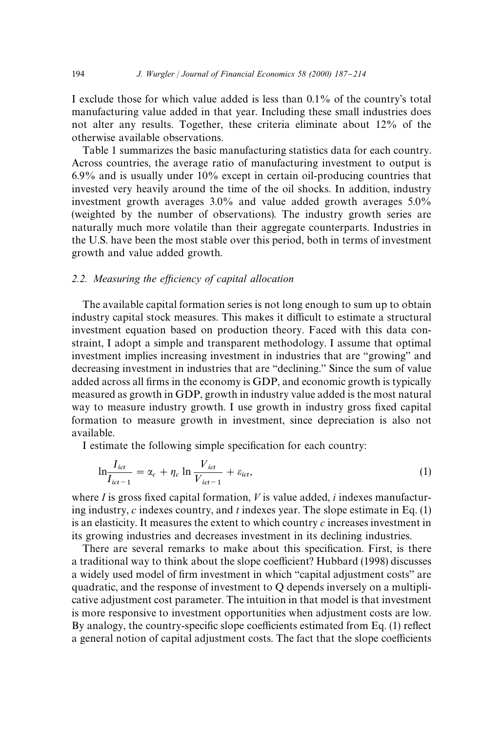I exclude those for which value added is less than 0.1% of the country's total manufacturing value added in that year. Including these small industries does not alter any results. Together, these criteria eliminate about 12% of the otherwise available observations.

Table 1 summarizes the basic manufacturing statistics data for each country. Across countries, the average ratio of manufacturing investment to output is 6.9% and is usually under 10% except in certain oil-producing countries that invested very heavily around the time of the oil shocks. In addition, industry investment growth averages  $3.0\%$  and value added growth averages  $5.0\%$ (weighted by the number of observations). The industry growth series are naturally much more volatile than their aggregate counterparts. Industries in the U.S. have been the most stable over this period, both in terms of investment growth and value added growth.

#### 2.2. Measuring the efficiency of capital allocation

The available capital formation series is not long enough to sum up to obtain industry capital stock measures. This makes it difficult to estimate a structural investment equation based on production theory. Faced with this data constraint, I adopt a simple and transparent methodology. I assume that optimal investment implies increasing investment in industries that are "growing" and decreasing investment in industries that are "declining." Since the sum of value added across all firms in the economy is GDP, and economic growth is typically measured as growth in GDP, growth in industry value added is the most natural way to measure industry growth. I use growth in industry gross fixed capital formation to measure growth in investment, since depreciation is also not available.

I estimate the following simple specification for each country:

$$
\ln \frac{I_{ict}}{I_{ict-1}} = \alpha_c + \eta_c \ln \frac{V_{ict}}{V_{ict-1}} + \varepsilon_{ict},
$$
\n(1)

where  $I$  is gross fixed capital formation,  $V$  is value added,  $i$  indexes manufacturing industry, *c* indexes country, and *t* indexes year. The slope estimate in Eq. (1) is an elasticity. It measures the extent to which country *c* increases investment in its growing industries and decreases investment in its declining industries.

There are several remarks to make about this specification. First, is there a traditional way to think about the slope coefficient? Hubbard (1998) discusses a widely used model of firm investment in which "capital adjustment costs" are quadratic, and the response of investment to Q depends inversely on a multiplicative adjustment cost parameter. The intuition in that model is that investment is more responsive to investment opportunities when adjustment costs are low. By analogy, the country-specific slope coefficients estimated from Eq. (1) reflect a general notion of capital adjustment costs. The fact that the slope coefficients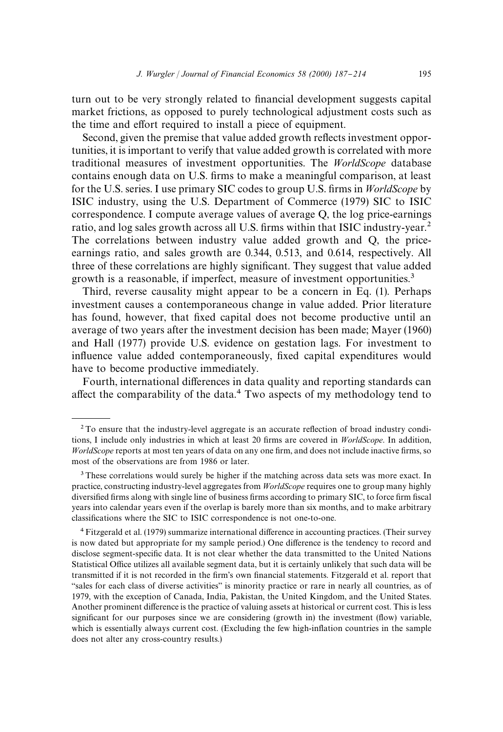turn out to be very strongly related to financial development suggests capital market frictions, as opposed to purely technological adjustment costs such as the time and effort required to install a piece of equipment.

Second, given the premise that value added growth reflects investment opportunities, it is important to verify that value added growth is correlated with more traditional measures of investment opportunities. The *WorldScope* database contains enough data on U.S. firms to make a meaningful comparison, at least for the U.S. series. I use primary SIC codes to group U.S. firms in *WorldScope* by ISIC industry, using the U.S. Department of Commerce (1979) SIC to ISIC correspondence. I compute average values of average Q, the log price-earnings ratio, and log sales growth across all U.S. firms within that ISIC industry-year.<sup>2</sup> The correlations between industry value added growth and Q, the priceearnings ratio, and sales growth are 0.344, 0.513, and 0.614, respectively. All three of these correlations are highly significant. They suggest that value added growth is a reasonable, if imperfect, measure of investment opportunities.<sup>3</sup>

Third, reverse causality might appear to be a concern in Eq. (1). Perhaps investment causes a contemporaneous change in value added. Prior literature has found, however, that fixed capital does not become productive until an average of two years after the investment decision has been made; Mayer (1960) and Hall (1977) provide U.S. evidence on gestation lags. For investment to influence value added contemporaneously, fixed capital expenditures would have to become productive immediately.

Fourth, international differences in data quality and reporting standards can affect the comparability of the data.<sup>4</sup> Two aspects of my methodology tend to

<sup>3</sup> These correlations would surely be higher if the matching across data sets was more exact. In practice, constructing industry-level aggregates from *WorldScope* requires one to group many highly diversified firms along with single line of business firms according to primary SIC, to force firm fiscal years into calendar years even if the overlap is barely more than six months, and to make arbitrary classifications where the SIC to ISIC correspondence is not one-to-one.

<sup>4</sup> Fitzgerald et al. (1979) summarize international difference in accounting practices. (Their survey is now dated but appropriate for my sample period.) One difference is the tendency to record and disclose segment-specific data. It is not clear whether the data transmitted to the United Nations Statistical Office utilizes all available segment data, but it is certainly unlikely that such data will be transmitted if it is not recorded in the firm's own financial statements. Fitzgerald et al. report that "sales for each class of diverse activities" is minority practice or rare in nearly all countries, as of 1979, with the exception of Canada, India, Pakistan, the United Kingdom, and the United States. Another prominent difference is the practice of valuing assets at historical or current cost. This is less significant for our purposes since we are considering (growth in) the investment (flow) variable, which is essentially always current cost. (Excluding the few high-inflation countries in the sample does not alter any cross-country results.)

<sup>&</sup>lt;sup>2</sup> To ensure that the industry-level aggregate is an accurate reflection of broad industry conditions, I include only industries in which at least 20 firms are covered in *WorldScope*. In addition, *WorldScope* reports at most ten years of data on any one firm, and does not include inactive firms, so most of the observations are from 1986 or later.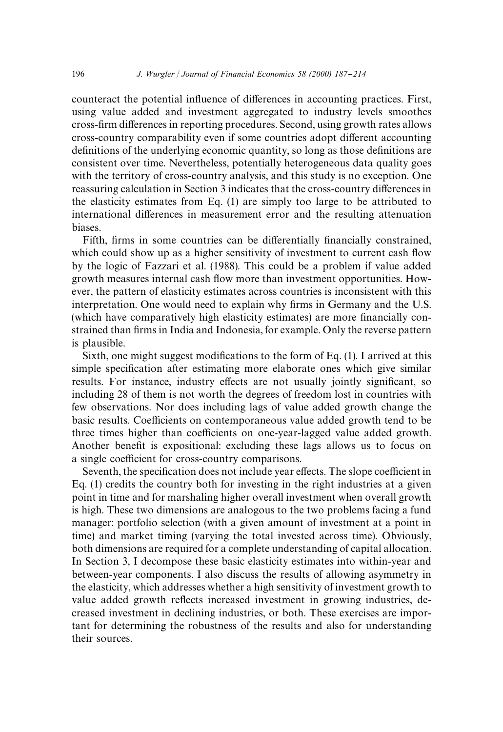counteract the potential influence of differences in accounting practices. First, using value added and investment aggregated to industry levels smoothes cross-firm differences in reporting procedures. Second, using growth rates allows cross-country comparability even if some countries adopt different accounting definitions of the underlying economic quantity, so long as those definitions are consistent over time. Nevertheless, potentially heterogeneous data quality goes with the territory of cross-country analysis, and this study is no exception. One reassuring calculation in Section 3 indicates that the cross-country differences in the elasticity estimates from Eq. (1) are simply too large to be attributed to international differences in measurement error and the resulting attenuation biases.

Fifth, firms in some countries can be differentially financially constrained, which could show up as a higher sensitivity of investment to current cash flow by the logic of Fazzari et al. (1988). This could be a problem if value added growth measures internal cash flow more than investment opportunities. However, the pattern of elasticity estimates across countries is inconsistent with this interpretation. One would need to explain why firms in Germany and the U.S. (which have comparatively high elasticity estimates) are more financially constrained than firms in India and Indonesia, for example. Only the reverse pattern is plausible.

Sixth, one might suggest modifications to the form of Eq.  $(1)$ . I arrived at this simple specification after estimating more elaborate ones which give similar results. For instance, industry effects are not usually jointly significant, so including 28 of them is not worth the degrees of freedom lost in countries with few observations. Nor does including lags of value added growth change the basic results. Coefficients on contemporaneous value added growth tend to be three times higher than coefficients on one-year-lagged value added growth. Another benefit is expositional: excluding these lags allows us to focus on a single coefficient for cross-country comparisons.

Seventh, the specification does not include year effects. The slope coefficient in Eq. (1) credits the country both for investing in the right industries at a given point in time and for marshaling higher overall investment when overall growth is high. These two dimensions are analogous to the two problems facing a fund manager: portfolio selection (with a given amount of investment at a point in time) and market timing (varying the total invested across time). Obviously, both dimensions are required for a complete understanding of capital allocation. In Section 3, I decompose these basic elasticity estimates into within-year and between-year components. I also discuss the results of allowing asymmetry in the elasticity, which addresses whether a high sensitivity of investment growth to value added growth reflects increased investment in growing industries, decreased investment in declining industries, or both. These exercises are important for determining the robustness of the results and also for understanding their sources.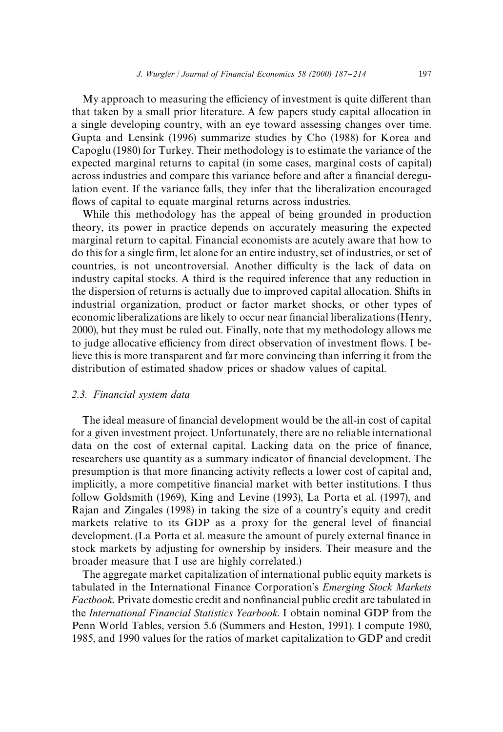My approach to measuring the efficiency of investment is quite different than that taken by a small prior literature. A few papers study capital allocation in a single developing country, with an eye toward assessing changes over time. Gupta and Lensink (1996) summarize studies by Cho (1988) for Korea and Capoglu (1980) for Turkey. Their methodology is to estimate the variance of the expected marginal returns to capital (in some cases, marginal costs of capital) across industries and compare this variance before and after a financial deregulation event. If the variance falls, they infer that the liberalization encouraged flows of capital to equate marginal returns across industries.

While this methodology has the appeal of being grounded in production theory, its power in practice depends on accurately measuring the expected marginal return to capital. Financial economists are acutely aware that how to do this for a single firm, let alone for an entire industry, set of industries, or set of countries, is not uncontroversial. Another difficulty is the lack of data on industry capital stocks. A third is the required inference that any reduction in the dispersion of returns is actually due to improved capital allocation. Shifts in industrial organization, product or factor market shocks, or other types of economic liberalizations are likely to occur near financial liberalizations (Henry, 2000), but they must be ruled out. Finally, note that my methodology allows me to judge allocative efficiency from direct observation of investment flows. I believe this is more transparent and far more convincing than inferring it from the distribution of estimated shadow prices or shadow values of capital.

# *2.3. Financial system data*

The ideal measure of financial development would be the all-in cost of capital for a given investment project. Unfortunately, there are no reliable international data on the cost of external capital. Lacking data on the price of finance, researchers use quantity as a summary indicator of financial development. The presumption is that more financing activity reflects a lower cost of capital and, implicitly, a more competitive financial market with better institutions. I thus follow Goldsmith (1969), King and Levine (1993), La Porta et al. (1997), and Rajan and Zingales (1998) in taking the size of a country's equity and credit markets relative to its GDP as a proxy for the general level of financial development. (La Porta et al. measure the amount of purely external finance in stock markets by adjusting for ownership by insiders. Their measure and the broader measure that I use are highly correlated.)

The aggregate market capitalization of international public equity markets is tabulated in the International Finance Corporation's *Emerging Stock Markets Factbook*. Private domestic credit and nonfinancial public credit are tabulated in the *International Financial Statistics Yearbook*. I obtain nominal GDP from the Penn World Tables, version 5.6 (Summers and Heston, 1991). I compute 1980, 1985, and 1990 values for the ratios of market capitalization to GDP and credit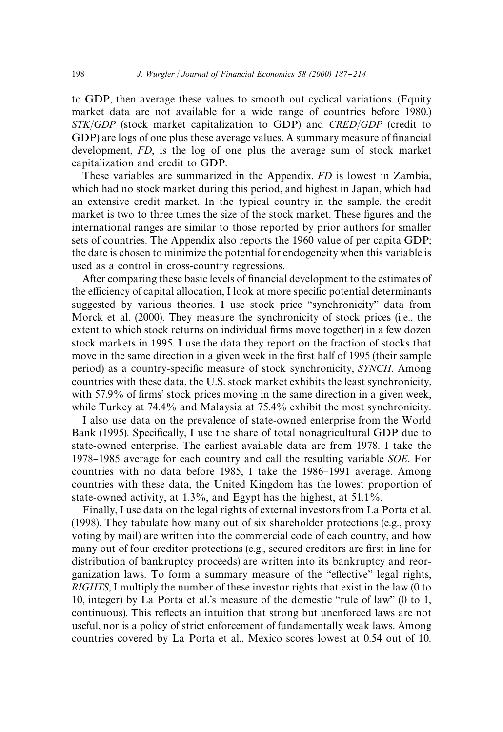to GDP, then average these values to smooth out cyclical variations. (Equity market data are not available for a wide range of countries before 1980.) *STK*/*GDP* (stock market capitalization to GDP) and *CRED*/*GDP* (credit to GDP) are logs of one plus these average values. A summary measure of financial development, *FD*, is the log of one plus the average sum of stock market capitalization and credit to GDP.

These variables are summarized in the Appendix. *FD* is lowest in Zambia, which had no stock market during this period, and highest in Japan, which had an extensive credit market. In the typical country in the sample, the credit market is two to three times the size of the stock market. These figures and the international ranges are similar to those reported by prior authors for smaller sets of countries. The Appendix also reports the 1960 value of per capita GDP; the date is chosen to minimize the potential for endogeneity when this variable is used as a control in cross-country regressions.

After comparing these basic levels of financial development to the estimates of the efficiency of capital allocation, I look at more specific potential determinants suggested by various theories. I use stock price "synchronicity" data from Morck et al. (2000). They measure the synchronicity of stock prices (i.e., the extent to which stock returns on individual firms move together) in a few dozen stock markets in 1995. I use the data they report on the fraction of stocks that move in the same direction in a given week in the first half of 1995 (their sample period) as a country-specific measure of stock synchronicity, *SYNCH*. Among countries with these data, the U.S. stock market exhibits the least synchronicity, with  $57.9\%$  of firms' stock prices moving in the same direction in a given week, while Turkey at 74.4% and Malaysia at 75.4% exhibit the most synchronicity.

I also use data on the prevalence of state-owned enterprise from the World Bank (1995). Specifically, I use the share of total nonagricultural GDP due to state-owned enterprise. The earliest available data are from 1978. I take the 1978}1985 average for each country and call the resulting variable *SOE*. For countries with no data before 1985, I take the 1986–1991 average. Among countries with these data, the United Kingdom has the lowest proportion of state-owned activity, at 1.3%, and Egypt has the highest, at 51.1%.

Finally, I use data on the legal rights of external investors from La Porta et al. (1998). They tabulate how many out of six shareholder protections (e.g., proxy voting by mail) are written into the commercial code of each country, and how many out of four creditor protections (e.g., secured creditors are first in line for distribution of bankruptcy proceeds) are written into its bankruptcy and reorganization laws. To form a summary measure of the "effective" legal rights, *RIGHTS*, I multiply the number of these investor rights that exist in the law (0 to 10, integer) by La Porta et al.'s measure of the domestic "rule of law" (0 to 1, continuous). This reflects an intuition that strong but unenforced laws are not useful, nor is a policy of strict enforcement of fundamentally weak laws. Among countries covered by La Porta et al., Mexico scores lowest at 0.54 out of 10.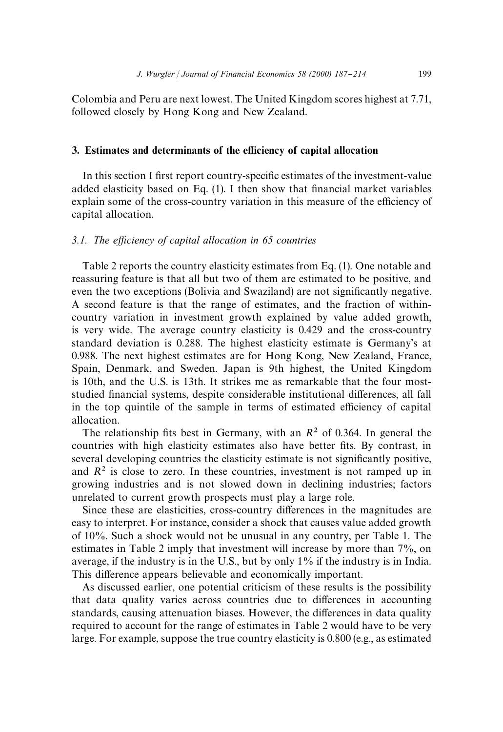Colombia and Peru are next lowest. The United Kingdom scores highest at 7.71, followed closely by Hong Kong and New Zealand.

### 3. Estimates and determinants of the efficiency of capital allocation

In this section I first report country-specific estimates of the investment-value added elasticity based on Eq.  $(1)$ . I then show that financial market variables  $explain some of the cross-country variation in this measure of the efficiency of$ capital allocation.

#### 3.1. The efficiency of capital allocation in 65 countries

Table 2 reports the country elasticity estimates from Eq. (1). One notable and reassuring feature is that all but two of them are estimated to be positive, and even the two exceptions (Bolivia and Swaziland) are not significantly negative. A second feature is that the range of estimates, and the fraction of withincountry variation in investment growth explained by value added growth, is very wide. The average country elasticity is 0.429 and the cross-country standard deviation is 0.288. The highest elasticity estimate is Germany's at 0.988. The next highest estimates are for Hong Kong, New Zealand, France, Spain, Denmark, and Sweden. Japan is 9th highest, the United Kingdom is 10th, and the U.S. is 13th. It strikes me as remarkable that the four moststudied financial systems, despite considerable institutional differences, all fall in the top quintile of the sample in terms of estimated efficiency of capital allocation.

The relationship fits best in Germany, with an  $R^2$  of 0.364. In general the countries with high elasticity estimates also have better fits. By contrast, in several developing countries the elasticity estimate is not significantly positive, and  $R<sup>2</sup>$  is close to zero. In these countries, investment is not ramped up in growing industries and is not slowed down in declining industries; factors unrelated to current growth prospects must play a large role.

Since these are elasticities, cross-country differences in the magnitudes are easy to interpret. For instance, consider a shock that causes value added growth of 10%. Such a shock would not be unusual in any country, per Table 1. The estimates in Table 2 imply that investment will increase by more than 7%, on average, if the industry is in the U.S., but by only 1% if the industry is in India. This difference appears believable and economically important.

As discussed earlier, one potential criticism of these results is the possibility that data quality varies across countries due to differences in accounting standards, causing attenuation biases. However, the differences in data quality required to account for the range of estimates in Table 2 would have to be very large. For example, suppose the true country elasticity is 0.800 (e.g., as estimated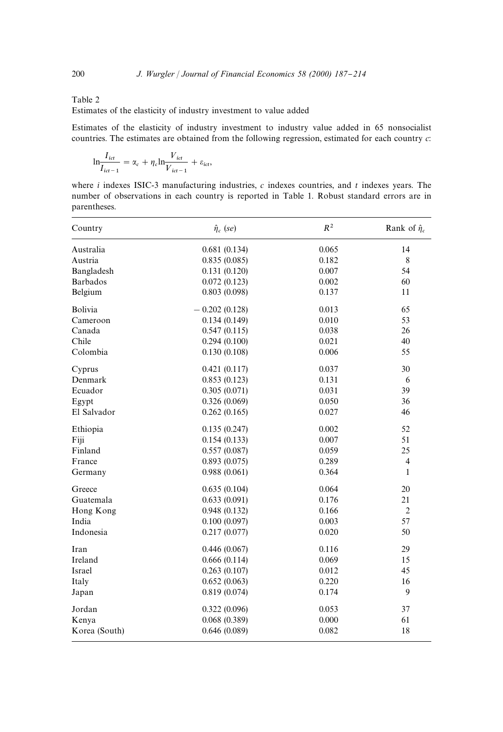#### Table 2

Estimates of the elasticity of industry investment to value added

Estimates of the elasticity of industry investment to industry value added in 65 nonsocialist countries. The estimates are obtained from the following regression, estimated for each country *c*:

$$
\mathrm{ln}\frac{I_{ict}}{I_{ict-1}} = \alpha_c + \eta_c \mathrm{ln}\frac{V_{ict}}{V_{ict-1}} + \varepsilon_{ict},
$$

where *i* indexes ISIC-3 manufacturing industries, *c* indexes countries, and *t* indexes years. The number of observations in each country is reported in Table 1. Robust standard errors are in parentheses.

| Country         | $\hat{\eta}_c$ (se) | $R^2$ | Rank of $\hat{\eta}_c$ |
|-----------------|---------------------|-------|------------------------|
| Australia       | 0.681(0.134)        | 0.065 | 14                     |
| Austria         | 0.835(0.085)        | 0.182 | 8                      |
| Bangladesh      | 0.131(0.120)        | 0.007 | 54                     |
| <b>Barbados</b> | 0.072(0.123)        | 0.002 | 60                     |
| Belgium         | 0.803(0.098)        | 0.137 | 11                     |
| Bolivia         | $-0.202(0.128)$     | 0.013 | 65                     |
| Cameroon        | 0.134(0.149)        | 0.010 | 53                     |
| Canada          | 0.547(0.115)        | 0.038 | 26                     |
| Chile           | 0.294(0.100)        | 0.021 | 40                     |
| Colombia        | 0.130(0.108)        | 0.006 | 55                     |
| Cyprus          | 0.421(0.117)        | 0.037 | 30                     |
| Denmark         | 0.853(0.123)        | 0.131 | 6                      |
| Ecuador         | 0.305(0.071)        | 0.031 | 39                     |
| Egypt           | 0.326(0.069)        | 0.050 | 36                     |
| El Salvador     | 0.262(0.165)        | 0.027 | 46                     |
| Ethiopia        | 0.135(0.247)        | 0.002 | 52                     |
| Fiji            | 0.154(0.133)        | 0.007 | 51                     |
| Finland         | 0.557(0.087)        | 0.059 | 25                     |
| France          | 0.893(0.075)        | 0.289 | 4                      |
| Germany         | 0.988(0.061)        | 0.364 | 1                      |
| Greece          | 0.635(0.104)        | 0.064 | 20                     |
| Guatemala       | 0.633(0.091)        | 0.176 | 21                     |
| Hong Kong       | 0.948(0.132)        | 0.166 | $\overline{2}$         |
| India           | 0.100(0.097)        | 0.003 | 57                     |
| Indonesia       | 0.217(0.077)        | 0.020 | 50                     |
| Iran            | 0.446(0.067)        | 0.116 | 29                     |
| Ireland         | 0.666(0.114)        | 0.069 | 15                     |
| Israel          | 0.263(0.107)        | 0.012 | 45                     |
| Italy           | 0.652(0.063)        | 0.220 | 16                     |
| Japan           | 0.819(0.074)        | 0.174 | 9                      |
| Jordan          | 0.322(0.096)        | 0.053 | 37                     |
| Kenya           | 0.068(0.389)        | 0.000 | 61                     |
| Korea (South)   | 0.646(0.089)        | 0.082 | 18                     |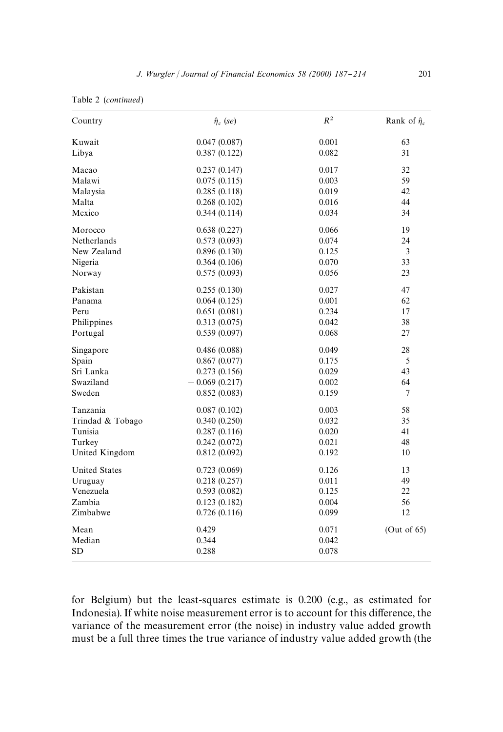|  | Table 2 (continued) |
|--|---------------------|
|--|---------------------|

| Country              | $\hat{\eta}_c$ (se) | $R^2$ | Rank of $\hat{\eta}_c$ |
|----------------------|---------------------|-------|------------------------|
| Kuwait               | 0.047(0.087)        | 0.001 | 63                     |
| Libya                | 0.387(0.122)        | 0.082 | 31                     |
| Macao                | 0.237(0.147)        | 0.017 | 32                     |
| Malawi               | 0.075(0.115)        | 0.003 | 59                     |
| Malaysia             | 0.285(0.118)        | 0.019 | 42                     |
| Malta                | 0.268(0.102)        | 0.016 | 44                     |
| Mexico               | 0.344(0.114)        | 0.034 | 34                     |
| Morocco              | 0.638(0.227)        | 0.066 | 19                     |
| Netherlands          | 0.573(0.093)        | 0.074 | 24                     |
| New Zealand          | 0.896(0.130)        | 0.125 | 3                      |
| Nigeria              | 0.364(0.106)        | 0.070 | 33                     |
| Norway               | 0.575(0.093)        | 0.056 | 23                     |
| Pakistan             | 0.255(0.130)        | 0.027 | 47                     |
| Panama               | 0.064(0.125)        | 0.001 | 62                     |
| Peru                 | 0.651(0.081)        | 0.234 | 17                     |
| Philippines          | 0.313(0.075)        | 0.042 | 38                     |
| Portugal             | 0.539(0.097)        | 0.068 | 27                     |
| Singapore            | 0.486(0.088)        | 0.049 | 28                     |
| Spain                | 0.867(0.077)        | 0.175 | 5                      |
| Sri Lanka            | 0.273(0.156)        | 0.029 | 43                     |
| Swaziland            | $-0.069(0.217)$     | 0.002 | 64                     |
| Sweden               | 0.852(0.083)        | 0.159 | 7                      |
| Tanzania             | 0.087(0.102)        | 0.003 | 58                     |
| Trindad & Tobago     | 0.340(0.250)        | 0.032 | 35                     |
| Tunisia              | 0.287(0.116)        | 0.020 | 41                     |
| Turkey               | 0.242(0.072)        | 0.021 | 48                     |
| United Kingdom       | 0.812(0.092)        | 0.192 | 10                     |
| <b>United States</b> | 0.723(0.069)        | 0.126 | 13                     |
| Uruguay              | 0.218(0.257)        | 0.011 | 49                     |
| Venezuela            | 0.593(0.082)        | 0.125 | 22                     |
| Zambia               | 0.123(0.182)        | 0.004 | 56                     |
| Zimbabwe             | 0.726(0.116)        | 0.099 | 12                     |
| Mean                 | 0.429               | 0.071 | (Out of $65$ )         |
| Median               | 0.344               | 0.042 |                        |
| <b>SD</b>            | 0.288               | 0.078 |                        |

for Belgium) but the least-squares estimate is 0.200 (e.g., as estimated for Indonesia). If white noise measurement error is to account for this difference, the variance of the measurement error (the noise) in industry value added growth must be a full three times the true variance of industry value added growth (the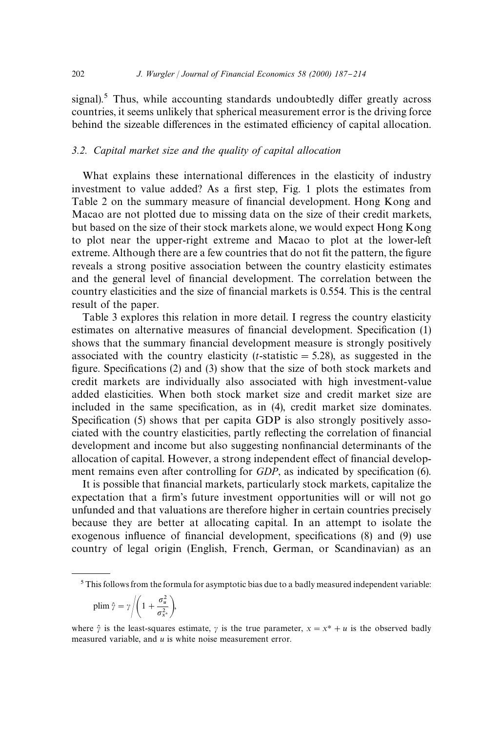signal).<sup>5</sup> Thus, while accounting standards undoubtedly differ greatly across countries, it seems unlikely that spherical measurement error is the driving force behind the sizeable differences in the estimated efficiency of capital allocation.

#### *3.2. Capital market size and the quality of capital allocation*

What explains these international differences in the elasticity of industry investment to value added? As a first step, Fig. 1 plots the estimates from Table 2 on the summary measure of financial development. Hong Kong and Macao are not plotted due to missing data on the size of their credit markets, but based on the size of their stock markets alone, we would expect Hong Kong to plot near the upper-right extreme and Macao to plot at the lower-left extreme. Although there are a few countries that do not fit the pattern, the figure reveals a strong positive association between the country elasticity estimates and the general level of financial development. The correlation between the country elasticities and the size of financial markets is 0.554. This is the central result of the paper.

Table 3 explores this relation in more detail. I regress the country elasticity estimates on alternative measures of financial development. Specification (1) shows that the summary financial development measure is strongly positively associated with the country elasticity  $(t\text{-statistic} = 5.28)$ , as suggested in the figure. Specifications  $(2)$  and  $(3)$  show that the size of both stock markets and credit markets are individually also associated with high investment-value added elasticities. When both stock market size and credit market size are included in the same specification, as in (4), credit market size dominates. Specification (5) shows that per capita GDP is also strongly positively associated with the country elasticities, partly reflecting the correlation of financial development and income but also suggesting nonfinancial determinants of the allocation of capital. However, a strong independent effect of financial development remains even after controlling for *GDP*, as indicated by specification (6).

It is possible that financial markets, particularly stock markets, capitalize the expectation that a firm's future investment opportunities will or will not go unfunded and that valuations are therefore higher in certain countries precisely because they are better at allocating capital. In an attempt to isolate the exogenous influence of financial development, specifications (8) and (9) use country of legal origin (English, French, German, or Scandinavian) as an

$$
\text{plim }\hat{\gamma} = \gamma \bigg/ \bigg( 1 + \frac{\sigma_u^2}{\sigma_{x^*}^2} \bigg),
$$

<sup>&</sup>lt;sup>5</sup> This follows from the formula for asymptotic bias due to a badly measured independent variable:

where  $\hat{\gamma}$  is the least-squares estimate,  $\gamma$  is the true parameter,  $x = x^* + u$  is the observed badly measured variable, and *u* is white noise measurement error.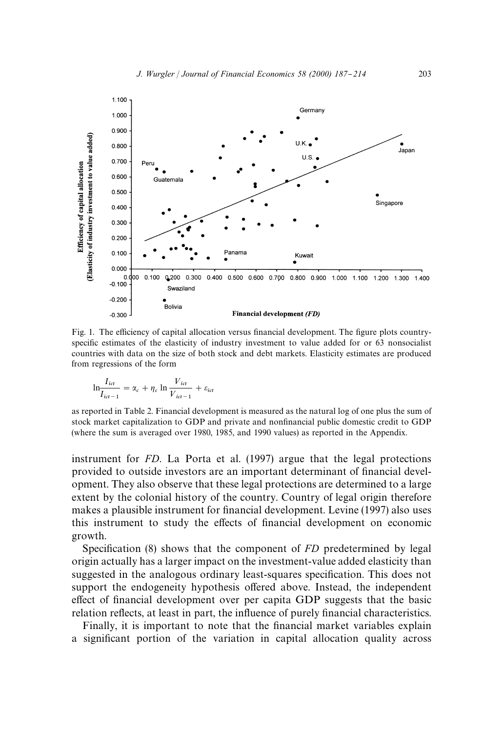

Fig. 1. The efficiency of capital allocation versus financial development. The figure plots countryspecific estimates of the elasticity of industry investment to value added for or 63 nonsocialist countries with data on the size of both stock and debt markets. Elasticity estimates are produced from regressions of the form

$$
\ln \frac{I_{ict}}{I_{ict-1}} = \alpha_c + \eta_c \ln \frac{V_{ict}}{V_{ict-1}} + \varepsilon_{ict}
$$

as reported in Table 2. Financial development is measured as the natural log of one plus the sum of stock market capitalization to GDP and private and nonfinancial public domestic credit to GDP (where the sum is averaged over 1980, 1985, and 1990 values) as reported in the Appendix.

instrument for *FD*. La Porta et al. (1997) argue that the legal protections provided to outside investors are an important determinant of financial development. They also observe that these legal protections are determined to a large extent by the colonial history of the country. Country of legal origin therefore makes a plausible instrument for financial development. Levine (1997) also uses this instrument to study the effects of financial development on economic growth.

Specification (8) shows that the component of *FD* predetermined by legal origin actually has a larger impact on the investment-value added elasticity than suggested in the analogous ordinary least-squares specification. This does not support the endogeneity hypothesis offered above. Instead, the independent effect of financial development over per capita GDP suggests that the basic relation reflects, at least in part, the influence of purely financial characteristics.

Finally, it is important to note that the financial market variables explain a significant portion of the variation in capital allocation quality across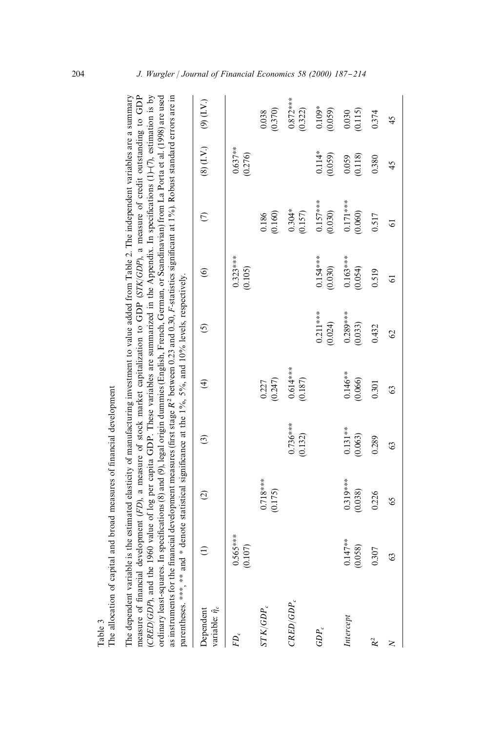| measure of financial development (FD), a measure of stock market capitalization to GDP (STK/GDP), a measure of credit outstanding to GDP<br>CRED/GDP), and the 1960 value of log per capita GDP. These variables are summarized in the Appendix. In specifications (1)-(7), estimation is by<br>ordinary least-squares. In specifications (8) and (9), legal origin dummies (English, French, German, or Scandinavian) from La Porta et al. (1998) are used<br>as instruments for the financial development measures (first stage R <sup>2</sup> between 0.23 and 0.30, F-statistics significant at 1%). Robust standard errors are in<br>The dependent variable is the estimated elasticity of manufacturing investment to value added from Table 2. The independent variables are a summary<br>parentheses. ***, ** and * denote statistical significance at the 1%, 5%, and 10% levels, respectively. |                       |                       |                       |                       |                       |                       |                       |                       |                       |
|----------------------------------------------------------------------------------------------------------------------------------------------------------------------------------------------------------------------------------------------------------------------------------------------------------------------------------------------------------------------------------------------------------------------------------------------------------------------------------------------------------------------------------------------------------------------------------------------------------------------------------------------------------------------------------------------------------------------------------------------------------------------------------------------------------------------------------------------------------------------------------------------------------|-----------------------|-----------------------|-----------------------|-----------------------|-----------------------|-----------------------|-----------------------|-----------------------|-----------------------|
| variable: $\hat{\eta}_c$<br>Dependent                                                                                                                                                                                                                                                                                                                                                                                                                                                                                                                                                                                                                                                                                                                                                                                                                                                                    | $\widehat{\Xi}$       | $\widehat{\omega}$    | ව                     | $\bigoplus$           | <u>ර</u>              | $\circledcirc$        | $\epsilon$            | $(8)$ $(1. V.)$       | $(9)$ (I.V.)          |
| $FD_c$                                                                                                                                                                                                                                                                                                                                                                                                                                                                                                                                                                                                                                                                                                                                                                                                                                                                                                   | $0.565***$<br>(0.107) |                       |                       |                       |                       | $0.323***$<br>(0.105) |                       | $0.637***$<br>(0.276) |                       |
| $STK/GDP_c$                                                                                                                                                                                                                                                                                                                                                                                                                                                                                                                                                                                                                                                                                                                                                                                                                                                                                              |                       | $0.718***$<br>(0.175) |                       | (0.247)<br>0.227      |                       |                       | (0.160)<br>0.186      |                       | (0.370)<br>0.038      |
| CRED/GDP                                                                                                                                                                                                                                                                                                                                                                                                                                                                                                                                                                                                                                                                                                                                                                                                                                                                                                 |                       |                       | $0.736***$<br>(0.132) | $0.614***$<br>(0.187) |                       |                       | $0.304*$<br>(0.157)   |                       | $0.872***$<br>(0.322) |
| $GDP_c$                                                                                                                                                                                                                                                                                                                                                                                                                                                                                                                                                                                                                                                                                                                                                                                                                                                                                                  |                       |                       |                       |                       | $0.211***$<br>(0.024) | $0.154***$<br>(0.030) | $0.157***$<br>(0.030) | $0.114*$<br>(0.059)   | $0.109*$<br>(0.059)   |
| Intercept                                                                                                                                                                                                                                                                                                                                                                                                                                                                                                                                                                                                                                                                                                                                                                                                                                                                                                | $0.147**$<br>(0.058)  | $0.319***$<br>(0.038) | $0.131**$<br>(0.063)  | $0.146**$<br>(0.066)  | $0.289***$<br>(0.033) | $0.163***$<br>(0.054) | $0.171***$<br>(0.060) | (0.118)<br>0.059      | (0.115)<br>0.030      |
| $R^2$                                                                                                                                                                                                                                                                                                                                                                                                                                                                                                                                                                                                                                                                                                                                                                                                                                                                                                    | 0.307                 | 0.226                 | 0.289                 | 0.301                 | 0.432                 | 0.519                 | 0.517                 | 0.380                 | 0.374                 |
| Z                                                                                                                                                                                                                                                                                                                                                                                                                                                                                                                                                                                                                                                                                                                                                                                                                                                                                                        | 63                    | 65                    | G3                    | 63                    | $\mathcal{O}$         | 5                     | 5                     | 45                    | 45                    |

The allocation of capital and broad measures of financial development The allocation of capital and broad measures of financial development Table 3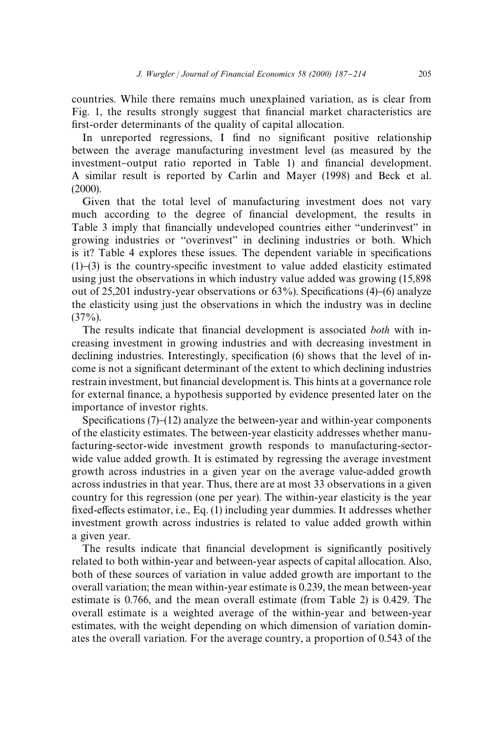countries. While there remains much unexplained variation, as is clear from Fig. 1, the results strongly suggest that financial market characteristics are first-order determinants of the quality of capital allocation.

In unreported regressions, I find no significant positive relationship between the average manufacturing investment level (as measured by the investment-output ratio reported in Table 1) and financial development. A similar result is reported by Carlin and Mayer (1998) and Beck et al. (2000).

Given that the total level of manufacturing investment does not vary much according to the degree of financial development, the results in Table 3 imply that financially undeveloped countries either "underinvest" in growing industries or "overinvest" in declining industries or both. Which is it? Table 4 explores these issues. The dependent variable in specifications  $(1)$ – $(3)$  is the country-specific investment to value added elasticity estimated using just the observations in which industry value added was growing (15,898 out of 25,201 industry-year observations or  $63\%$ ). Specifications (4)–(6) analyze the elasticity using just the observations in which the industry was in decline  $(37\%)$ .

The results indicate that financial development is associated *both* with increasing investment in growing industries and with decreasing investment in declining industries. Interestingly, specification  $(6)$  shows that the level of income is not a significant determinant of the extent to which declining industries restrain investment, but financial development is. This hints at a governance role for external finance, a hypothesis supported by evidence presented later on the importance of investor rights.

Specifications  $(7)-(12)$  analyze the between-year and within-year components of the elasticity estimates. The between-year elasticity addresses whether manufacturing-sector-wide investment growth responds to manufacturing-sectorwide value added growth. It is estimated by regressing the average investment growth across industries in a given year on the average value-added growth across industries in that year. Thus, there are at most 33 observations in a given country for this regression (one per year). The within-year elasticity is the year fixed-effects estimator, i.e., Eq. (1) including year dummies. It addresses whether investment growth across industries is related to value added growth within a given year.

The results indicate that financial development is significantly positively related to both within-year and between-year aspects of capital allocation. Also, both of these sources of variation in value added growth are important to the overall variation; the mean within-year estimate is 0.239, the mean between-year estimate is 0.766, and the mean overall estimate (from Table 2) is 0.429. The overall estimate is a weighted average of the within-year and between-year estimates, with the weight depending on which dimension of variation dominates the overall variation. For the average country, a proportion of 0.543 of the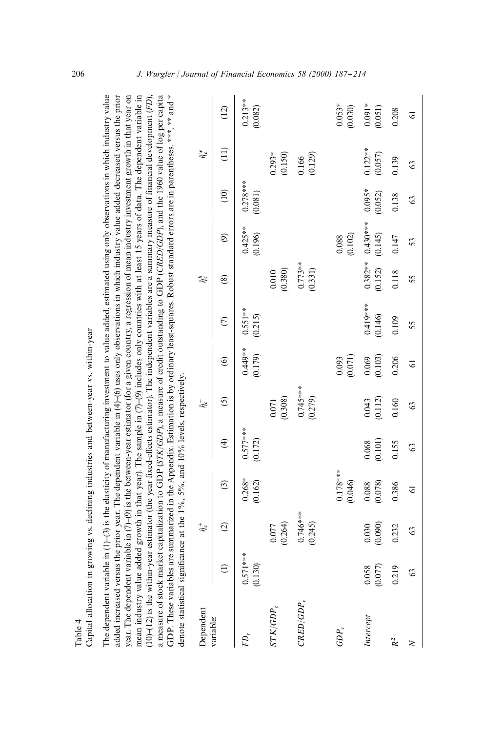Capital allocation in growing vs. declining industries and between-year vs. within-year Capital allocation in growing vs. declining industries and between-year vs. within-year The dependent variable in  $(1)$ –(3) is the elasticity of manufacturing investment to value added, estimated using only observations in which industry value year. The dependent variable in  $(7)-(9)$  is the between-year estimator (for a given country, a regression of mean industry investment growth in that year on The dependent variable in  $(1)(-3)$  is the elasticity of manufacturing investment to value added, estimated using only observations in which industry value added increased versus the prior year. The dependent variable in (4)-(6) uses only observations in which industry value added decreased versus the prior added increased versus the prior year. The dependent variable in (4)}(6) uses only observations in which industry value added decreased versus the prior year. The dependent variable in (7)}(9) is the between-year estimator (for a given country, a regression of mean industry investment growth in that year on mean industry value added growth in that year). The sample in (7)–(9) includes only countries with at least 15 years of data. The dependent variable in mean industry value added growth in that year). The sample in (7)}(9) includes only countries with at least 15 years of data. The dependent variable in  $10$ – $(12)$  is the within-year estimator (the year fixed-effects estimator). The independent variables are a summary measure of financial development (FD), !ects estimator). The independent variables are a summary measure of "nancial development (*FD*), a measure of stock market capitalization to GDP (STK/GDP), a measure of credit outstanding to GDP (CRED/GDP), and the 1960 value of log per capita a measure of stock market capitalization to GDP (*STK*/*GDP*), a measure of credit outstanding to GDP (*CRED*/*GDP*), and the 1960 value of log per capita GDP. These variables are summarized in the Appendix. Estimation is by ordinary least-squares. Robust standard errors are in parentheses. \*\*\*, \*\*\* and \* GDP. These variables are summarized in the Appendix. Estimation is by ordinary least-squares. Robust standard errors are in parentheses.  $**$ , and  $*$ denote statistical significance at the  $1\%$ .  $5\%$ , and  $10\%$  levels, respectively denote statistical significance at the 1%, 5%, and 10% levels, respectively.  $(10)$ – $(12)$  is the within-year estimator (the year fixed-e

|                 | 10.10 M               |                       |                                               |                                               |                                               |                                               |                       |                      |                                               |                       |                                           |                         |
|-----------------|-----------------------|-----------------------|-----------------------------------------------|-----------------------------------------------|-----------------------------------------------|-----------------------------------------------|-----------------------|----------------------|-----------------------------------------------|-----------------------|-------------------------------------------|-------------------------|
| Dependent       |                       | $\hat{\eta}^*_c$      |                                               |                                               | $\hat{\eta}_c^-$                              |                                               |                       | $\hat{\eta}_c^b$     |                                               |                       | $\hat{\eta}_c^w$                          |                         |
| variable:       | $\widehat{\Xi}$       | $\odot$               | ල                                             | $\widehat{\mathcal{F}}$                       | $\odot$                                       | $\circledcirc$                                | $\epsilon$            | ଛ                    | $\circledcirc$                                | (10)                  | $\left(11\right)$                         | (12)                    |
| $FD_c$          | $0.571***$<br>(0.130) |                       | $0.268*$<br>$(0.162)$                         | $0.577***$<br>(0.172)                         |                                               | (6179)                                        | $0.551***$<br>(0.215) |                      | $0.425***$<br>(0.196)                         | $0.278***$<br>(0.081) |                                           | $0.213***$<br>$(0.082)$ |
| $STK/GDP_c$     |                       | $0.077$<br>$(0.264)$  |                                               |                                               | $\begin{array}{c} 0.071 \\ 0.308 \end{array}$ |                                               |                       | $-0.010$<br>(0.380)  |                                               |                       |                                           |                         |
| $_{CRED/GDP_c}$ |                       | $0.746***$<br>(0.245) |                                               |                                               | $0.745***$                                    |                                               |                       | $0.773**$<br>(0.331) |                                               |                       | $0.293*$<br>$0.150$<br>$0.166$<br>$0.129$ |                         |
| $GDP_c$         |                       |                       | $0.178***$<br>(0.046)                         |                                               |                                               | $\begin{array}{c} 0.093 \\ 0.071 \end{array}$ |                       |                      | $\begin{array}{c} 0.088 \\ 0.102 \end{array}$ |                       |                                           | $0.053*0.0300$          |
| Intercept       | $0.058$<br>$(0.077)$  | (0.090)<br>0.030      | $\begin{array}{c} 0.088 \\ 0.078 \end{array}$ | $\begin{array}{c} 0.068 \\ 0.101 \end{array}$ | $0.043$<br>$(0.112)$                          | $0.069$<br>$(0.103)$                          | $0.419***$<br>(0.146) | $0.382**$<br>(0.152) | $0.430***$<br>(0.145)                         | $0.095*$<br>(0.052)   | $0.122**$<br>$(0.057)$                    | $0.091*$<br>(0.051)     |
|                 | 0.219                 | 0.232                 | 0.386                                         | 0.155                                         | 0.160                                         | 0.206                                         | 0.109                 | 0.118                | 0.147                                         | 0.138                 | 0.139                                     | 0.208                   |
|                 | 63                    | 63                    | 2                                             | 63                                            | $\Im$                                         | $\overline{6}$                                | 55                    | 55                   | 53                                            | S                     | 63                                        | $\overline{6}$          |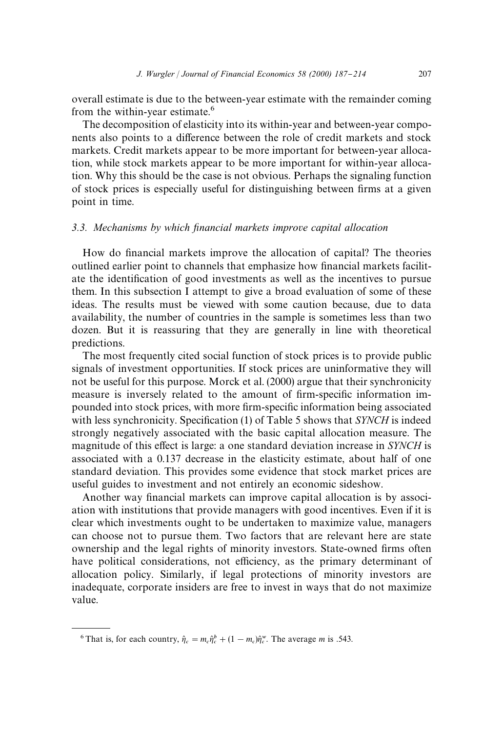overall estimate is due to the between-year estimate with the remainder coming from the within-year estimate.<sup>6</sup>

The decomposition of elasticity into its within-year and between-year components also points to a difference between the role of credit markets and stock markets. Credit markets appear to be more important for between-year allocation, while stock markets appear to be more important for within-year allocation. Why this should be the case is not obvious. Perhaps the signaling function of stock prices is especially useful for distinguishing between firms at a given point in time.

#### *3.3. Mechanisms by which* x*nancial markets improve capital allocation*

How do financial markets improve the allocation of capital? The theories outlined earlier point to channels that emphasize how financial markets facilitate the identification of good investments as well as the incentives to pursue them. In this subsection I attempt to give a broad evaluation of some of these ideas. The results must be viewed with some caution because, due to data availability, the number of countries in the sample is sometimes less than two dozen. But it is reassuring that they are generally in line with theoretical predictions.

The most frequently cited social function of stock prices is to provide public signals of investment opportunities. If stock prices are uninformative they will not be useful for this purpose. Morck et al. (2000) argue that their synchronicity measure is inversely related to the amount of firm-specific information impounded into stock prices, with more firm-specific information being associated with less synchronicity. Specification (1) of Table 5 shows that *SYNCH* is indeed strongly negatively associated with the basic capital allocation measure. The magnitude of this effect is large: a one standard deviation increase in *SYNCH* is associated with a 0.137 decrease in the elasticity estimate, about half of one standard deviation. This provides some evidence that stock market prices are useful guides to investment and not entirely an economic sideshow.

Another way financial markets can improve capital allocation is by association with institutions that provide managers with good incentives. Even if it is clear which investments ought to be undertaken to maximize value, managers can choose not to pursue them. Two factors that are relevant here are state ownership and the legal rights of minority investors. State-owned firms often have political considerations, not efficiency, as the primary determinant of allocation policy. Similarly, if legal protections of minority investors are inadequate, corporate insiders are free to invest in ways that do not maximize value.

<sup>&</sup>lt;sup>6</sup> That is, for each country,  $\hat{\eta}_c = m_c \hat{\eta}_c^b + (1 - m_c)\hat{\eta}_c^w$ . The average *m* is .543.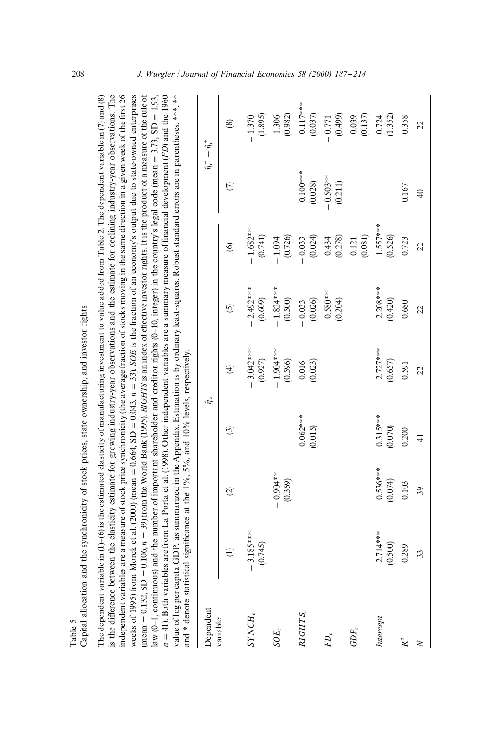| $\overline{1}$                                                                                                      |
|---------------------------------------------------------------------------------------------------------------------|
|                                                                                                                     |
|                                                                                                                     |
| party of ofor mean of care of composition and installer each<br>:<br>ຸ                                              |
|                                                                                                                     |
| ינוש<br>א                                                                                                           |
|                                                                                                                     |
|                                                                                                                     |
| $\frac{1}{2}$ of $\frac{1}{2}$ of $\frac{1}{2}$ of $\frac{1}{2}$ of $\frac{1}{2}$ of $\frac{1}{2}$ of $\frac{1}{2}$ |
|                                                                                                                     |
|                                                                                                                     |
| י<br>ווי התוכנה                                                                                                     |
|                                                                                                                     |
|                                                                                                                     |
|                                                                                                                     |
| Ĵ                                                                                                                   |
|                                                                                                                     |

s the difference between the elasticity estimate for growing industry-year observations and the estimate for declining industry-year observations. The The dependent variable in (1)-(6) is the estimated elasticity of manufacturing investment to value added from Table 2. The dependent variable in (7) and (8) The dependent variable in (1)-(6) is the estimated elasticity of manufacturing investment to value added from Table 2. The dependent variable in (7) and (8) !erence between the elasticity estimate for growing industry-year observations and the estimate for declining industry-year observations. The independent variables are a measure of stock price synchronicity (the average fraction of stocks moving in the same direction in a given week of the first 26 independent variables are a measure of stock price synchronicity (the average fraction of stocks moving in the same direction in a given week of the "rst 26 weeks of 1995) from Morck et al. (2000) (mean = 0.664, SD = 0.043,  $n = 33$ ). SOE is the fraction of an economy's output due to state-owned enterprises  $= 0.043$ ,  $n = 33$ ). *SOE* is the fraction of an economy's output due to state-owned enterprises mean = 0.132, SD = 0.106,  $n = 39$ ) from the World Bank (1995). *RIGHTS* is an index of effective investor rights. It is the product of a measure of the rule of !ective investor rights. It is the product of a measure of the rule of aw (0-1, continuous) and the number of important shareholder and creditor rights (0-10, integer) in the country's legal code (mean = 3.73, SD = 1.93,  $n = 41$ . Both variables are from La Porta et al. (1998). Other independent variables are a summary measure of financial development (*FD*) and the 1960 *n*"41). Both variables are from La Porta et al. (1998). Other independent variables are a summary measure of "nancial development (*FD*) and the 1960 value of log per capita GDP, as summarized in the Appendix. Estimation is by ordinary least-squares. Robust standard errors are in parentheses. \*\*\*, \*\*\* value of log per capita GDP, as summarized in the Appendix. Estimation is by ordinary least-squares. Robust standard errors are in parentheses. \*\*\*, \*\*  $= 3.73, SD$ law (0-1, continuous) and the number of important shareholder and creditor rights (0-10, integer) in the country's legal code (mean  $= 0.106$ ,  $n = 39$ ) from the World Bank (1995). *RIGHTS* is an index of e and \* denote statistical significance at the  $1\%$ ,  $5\%$ , and  $10\%$  levels, respectively. and  $*$  denote statistical significance at the 1%, 5%, and 10% levels, respectively.  $= 0.664$ , SD weeks of 1995) from Morck et al. (2000) (mean  $= 0.132,$  SD

| Dependent |                        |                        |                       | $\hat{r}$             |                        |                                                                                          |                                              | $\hat{\eta}_{\rm c}^{\, -}$ $ \hat{\eta}_{\rm c}^{\, +}$                                          |
|-----------|------------------------|------------------------|-----------------------|-----------------------|------------------------|------------------------------------------------------------------------------------------|----------------------------------------------|---------------------------------------------------------------------------------------------------|
| variable: |                        | $\odot$                | ල                     | $\widehat{E}$         | $\odot$                | $\circledcirc$                                                                           | $\widehat{\in}$                              | $\circledast$                                                                                     |
| SYNCH,    | $-3.185***$<br>(0.745) |                        |                       | $-3.042***$           | $-2.492***$<br>(0.609) | $-1.682***$<br>(0.741)                                                                   |                                              | (1.895)<br>1.370                                                                                  |
| $SOE_c$   |                        | $-0.904***$<br>(0.369) |                       | $-1.904***$           | $-1.824***$<br>(0.500) | $-1.094$<br>(0.726)                                                                      |                                              | $1.306$<br>$(0.982)$                                                                              |
| RIGHTS,   |                        |                        | $0.062***$<br>(0.015) | $0.016$<br>$(0.023)$  | $-0.033$<br>(0.026)    |                                                                                          |                                              | $0.117***$<br>(0.037)                                                                             |
| $FD_c$    |                        |                        |                       |                       | $0.580***$<br>(0.204)  | $\begin{array}{c} -0.033 \\ (0.024) \\ 0.434 \\ (0.278) \\ 0.121 \\ (0.081) \end{array}$ | $0.100***$<br>(0.028)<br>-0.503**<br>(0.211) |                                                                                                   |
| $GDP_c$   |                        |                        |                       |                       |                        |                                                                                          |                                              | $\begin{array}{c} -0.771 \\ (0.499) \\ 0.039 \\ (0.137) \\ 0.724 \\ 0.724 \\ (1.352) \end{array}$ |
| Intercept | $2.714***$<br>(0.500)  | $0.536***$<br>(0.074)  | $0.315***$<br>(0.070) | $2.727***$<br>(0.657) | $2.208***$<br>(0.420)  | $1.557***$<br>(0.526)                                                                    |                                              |                                                                                                   |
|           | 0.289                  | 0.103                  | 0.200                 | 0.591                 | 0.680                  | 0.723                                                                                    | 0.167                                        | 0.358                                                                                             |
|           | 33                     | 39                     | $\frac{1}{4}$         | $\Omega$              | $\overline{c}$         | $\overline{c}$                                                                           | $\overline{40}$                              | $\overline{22}$                                                                                   |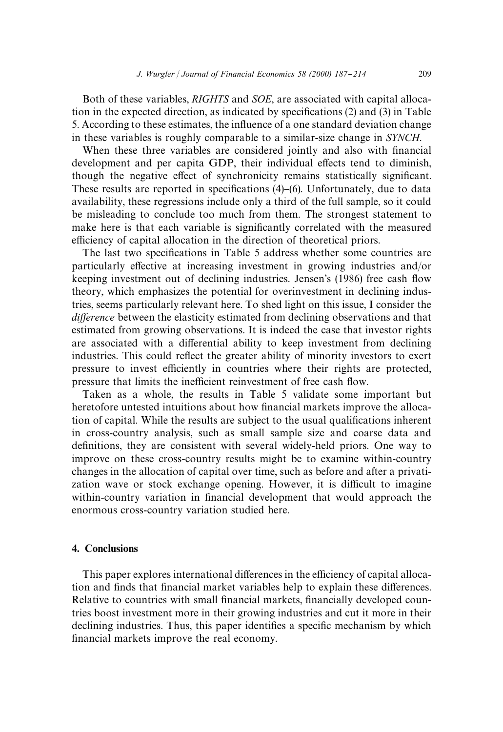Both of these variables, *RIGHTS* and *SOE*, are associated with capital allocation in the expected direction, as indicated by specifications  $(2)$  and  $(3)$  in Table 5. According to these estimates, the influence of a one standard deviation change in these variables is roughly comparable to a similar-size change in *SYNCH*.

When these three variables are considered jointly and also with financial development and per capita GDP, their individual effects tend to diminish, though the negative effect of synchronicity remains statistically significant. These results are reported in specifications  $(4)$ – $(6)$ . Unfortunately, due to data availability, these regressions include only a third of the full sample, so it could be misleading to conclude too much from them. The strongest statement to make here is that each variable is significantly correlated with the measured efficiency of capital allocation in the direction of theoretical priors.

The last two specifications in Table 5 address whether some countries are particularly effective at increasing investment in growing industries and/or keeping investment out of declining industries. Jensen's (1986) free cash flow theory, which emphasizes the potential for overinvestment in declining industries, seems particularly relevant here. To shed light on this issue, I consider the *difference* between the elasticity estimated from declining observations and that estimated from growing observations. It is indeed the case that investor rights are associated with a differential ability to keep investment from declining industries. This could reflect the greater ability of minority investors to exert pressure to invest efficiently in countries where their rights are protected, pressure that limits the inefficient reinvestment of free cash flow.

Taken as a whole, the results in Table 5 validate some important but heretofore untested intuitions about how financial markets improve the allocation of capital. While the results are subject to the usual qualifications inherent in cross-country analysis, such as small sample size and coarse data and definitions, they are consistent with several widely-held priors. One way to improve on these cross-country results might be to examine within-country changes in the allocation of capital over time, such as before and after a privatization wave or stock exchange opening. However, it is difficult to imagine within-country variation in financial development that would approach the enormous cross-country variation studied here.

### 4. Conclusions

This paper explores international differences in the efficiency of capital allocation and finds that financial market variables help to explain these differences. Relative to countries with small financial markets, financially developed countries boost investment more in their growing industries and cut it more in their declining industries. Thus, this paper identifies a specific mechanism by which financial markets improve the real economy.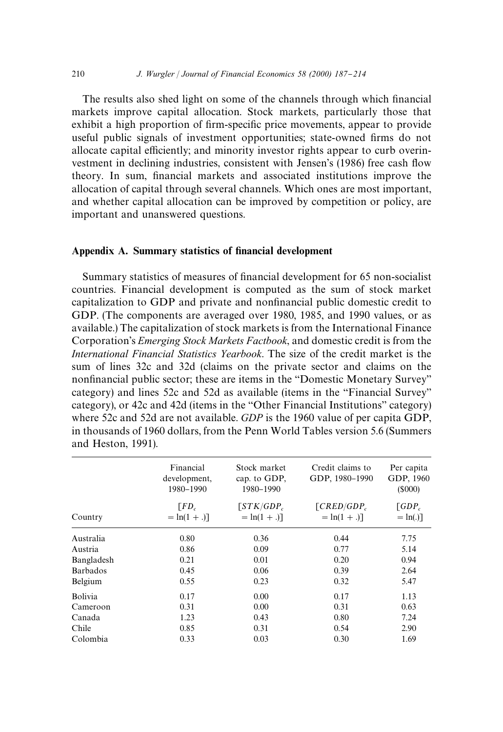The results also shed light on some of the channels through which financial markets improve capital allocation. Stock markets, particularly those that exhibit a high proportion of firm-specific price movements, appear to provide useful public signals of investment opportunities; state-owned firms do not allocate capital efficiently; and minority investor rights appear to curb overinvestment in declining industries, consistent with Jensen's (1986) free cash flow theory. In sum, financial markets and associated institutions improve the allocation of capital through several channels. Which ones are most important, and whether capital allocation can be improved by competition or policy, are important and unanswered questions.

#### Appendix A. Summary statistics of financial development

Summary statistics of measures of financial development for 65 non-socialist countries. Financial development is computed as the sum of stock market capitalization to GDP and private and nonfinancial public domestic credit to GDP. (The components are averaged over 1980, 1985, and 1990 values, or as available.) The capitalization of stock markets is from the International Finance Corporation's *Emerging Stock Markets Factbook*, and domestic credit is from the *International Financial Statistics Yearbook*. The size of the credit market is the sum of lines 32c and 32d (claims on the private sector and claims on the nonfinancial public sector; these are items in the "Domestic Monetary Survey" category) and lines 52c and 52d as available (items in the "Financial Survey" category), or 42c and 42d (items in the "Other Financial Institutions" category) where 52c and 52d are not available. *GDP* is the 1960 value of per capita GDP, in thousands of 1960 dollars, from the Penn World Tables version 5.6 (Summers and Heston, 1991).

|            | Financial<br>development,<br>1980-1990 | Stock market<br>cap. to GDP,<br>1980-1990 | Credit claims to<br>GDP, 1980-1990               | Per capita<br>GDP, 1960<br>(S000)   |
|------------|----------------------------------------|-------------------------------------------|--------------------------------------------------|-------------------------------------|
| Country    | $F_{D_c}$<br>$=$ ln(1 + .)]            | $STK/GDP_c$<br>$= \ln(1 + .)$             | $\lceil$ CRED/GDP <sub>c</sub><br>$=$ ln(1 + .)] | $\lceil GDP_c \rceil$<br>$=$ ln(.)] |
| Australia  | 0.80                                   | 0.36                                      | 0.44                                             | 7.75                                |
| Austria    | 0.86                                   | 0.09                                      | 0.77                                             | 5.14                                |
| Bangladesh | 0.21                                   | 0.01                                      | 0.20                                             | 0.94                                |
| Barbados   | 0.45                                   | 0.06                                      | 0.39                                             | 2.64                                |
| Belgium    | 0.55                                   | 0.23                                      | 0.32                                             | 5.47                                |
| Bolivia    | 0.17                                   | 0.00                                      | 0.17                                             | 1.13                                |
| Cameroon   | 0.31                                   | 0.00                                      | 0.31                                             | 0.63                                |
| Canada     | 1.23                                   | 0.43                                      | 0.80                                             | 7.24                                |
| Chile      | 0.85                                   | 0.31                                      | 0.54                                             | 2.90                                |
| Colombia   | 0.33                                   | 0.03                                      | 0.30                                             | 1.69                                |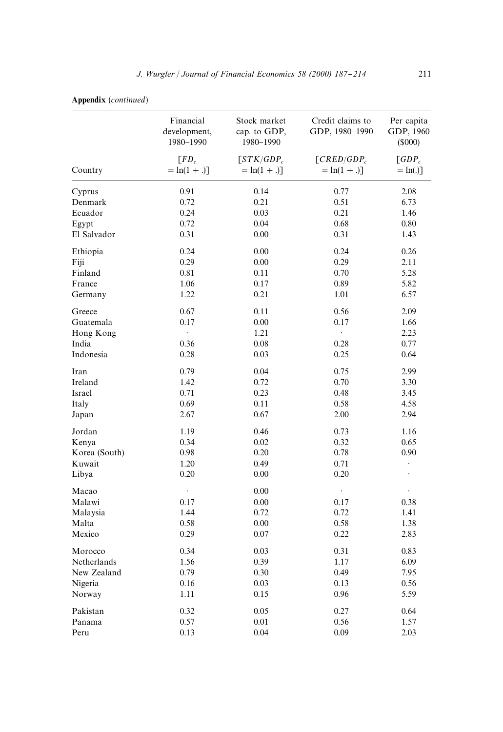| Country       | Financial<br>development,<br>1980-1990<br>$\lceil FD_c \rceil$<br>$= \ln(1 + .)$ ] | Stock market<br>cap. to GDP,<br>1980-1990<br>$\left[STK/GDP_c\right]$<br>$=$ ln(1 + .)] | Credit claims to<br>GDP, 1980-1990<br>$\lceil$ CRED/GDP <sub>c</sub><br>$=$ ln(1 + .)] | Per capita<br>GDP, 1960<br>(5000)<br>$\lceil GDP_c \rceil$<br>$=$ ln(.)] |
|---------------|------------------------------------------------------------------------------------|-----------------------------------------------------------------------------------------|----------------------------------------------------------------------------------------|--------------------------------------------------------------------------|
|               |                                                                                    |                                                                                         |                                                                                        |                                                                          |
| Denmark       | 0.72                                                                               | 0.21                                                                                    | 0.51                                                                                   | 6.73                                                                     |
| Ecuador       | 0.24                                                                               | 0.03                                                                                    | 0.21                                                                                   | 1.46                                                                     |
| Egypt         | 0.72                                                                               | 0.04                                                                                    | 0.68                                                                                   | 0.80                                                                     |
| El Salvador   | 0.31                                                                               | 0.00                                                                                    | 0.31                                                                                   | 1.43                                                                     |
| Ethiopia      | 0.24                                                                               | 0.00                                                                                    | 0.24                                                                                   | 0.26                                                                     |
| Fiji          | 0.29                                                                               | 0.00                                                                                    | 0.29                                                                                   | 2.11                                                                     |
| Finland       | 0.81                                                                               | 0.11                                                                                    | 0.70                                                                                   | 5.28                                                                     |
| France        | 1.06                                                                               | 0.17                                                                                    | 0.89                                                                                   | 5.82                                                                     |
| Germany       | 1.22                                                                               | 0.21                                                                                    | 1.01                                                                                   | 6.57                                                                     |
| Greece        | 0.67                                                                               | 0.11                                                                                    | 0.56                                                                                   | 2.09                                                                     |
| Guatemala     | 0.17                                                                               | 0.00                                                                                    | 0.17                                                                                   | 1.66                                                                     |
| Hong Kong     | $\ddot{\phantom{0}}$                                                               | 1.21                                                                                    | $\ddot{\phantom{0}}$                                                                   | 2.23                                                                     |
| India         | 0.36                                                                               | 0.08                                                                                    | 0.28                                                                                   | 0.77                                                                     |
| Indonesia     | 0.28                                                                               | 0.03                                                                                    | 0.25                                                                                   | 0.64                                                                     |
| Iran          | 0.79                                                                               | 0.04                                                                                    | 0.75                                                                                   | 2.99                                                                     |
| Ireland       | 1.42                                                                               | 0.72                                                                                    | 0.70                                                                                   | 3.30                                                                     |
| Israel        | 0.71                                                                               | 0.23                                                                                    | 0.48                                                                                   | 3.45                                                                     |
| Italy         | 0.69                                                                               | 0.11                                                                                    | 0.58                                                                                   | 4.58                                                                     |
| Japan         | 2.67                                                                               | 0.67                                                                                    | 2.00                                                                                   | 2.94                                                                     |
| Jordan        | 1.19                                                                               | 0.46                                                                                    | 0.73                                                                                   | 1.16                                                                     |
| Kenya         | 0.34                                                                               | 0.02                                                                                    | 0.32                                                                                   | 0.65                                                                     |
| Korea (South) | 0.98                                                                               | 0.20                                                                                    | 0.78                                                                                   | 0.90                                                                     |
| Kuwait        | 1.20                                                                               | 0.49                                                                                    | 0.71                                                                                   | $\bullet$                                                                |
| Libya         | 0.20                                                                               | 0.00                                                                                    | 0.20                                                                                   |                                                                          |
| Macao         | $\ddot{\phantom{0}}$                                                               | 0.00                                                                                    | $\cdot$                                                                                | $\ddot{\phantom{0}}$                                                     |
| Malawi        | 0.17                                                                               | 0.00                                                                                    | 0.17                                                                                   | 0.38                                                                     |
| Malaysia      | 1.44                                                                               | 0.72                                                                                    | 0.72                                                                                   | 1.41                                                                     |
| Malta         | 0.58                                                                               | 0.00                                                                                    | 0.58                                                                                   | 1.38                                                                     |
| Mexico        | 0.29                                                                               | 0.07                                                                                    | 0.22                                                                                   | 2.83                                                                     |
| Morocco       | 0.34                                                                               | 0.03                                                                                    | 0.31                                                                                   | 0.83                                                                     |
| Netherlands   | 1.56                                                                               | 0.39                                                                                    | 1.17                                                                                   | 6.09                                                                     |
| New Zealand   | 0.79                                                                               | 0.30                                                                                    | 0.49                                                                                   | 7.95                                                                     |
| Nigeria       | 0.16                                                                               | 0.03                                                                                    | 0.13                                                                                   | 0.56                                                                     |
| Norway        | 1.11                                                                               | 0.15                                                                                    | 0.96                                                                                   | 5.59                                                                     |
| Pakistan      | 0.32                                                                               | 0.05                                                                                    | 0.27                                                                                   | 0.64                                                                     |
| Panama        | 0.57                                                                               | 0.01                                                                                    | 0.56                                                                                   | 1.57                                                                     |
| Peru          | 0.13                                                                               | 0.04                                                                                    | 0.09                                                                                   | 2.03                                                                     |

# Appendix (*continued*)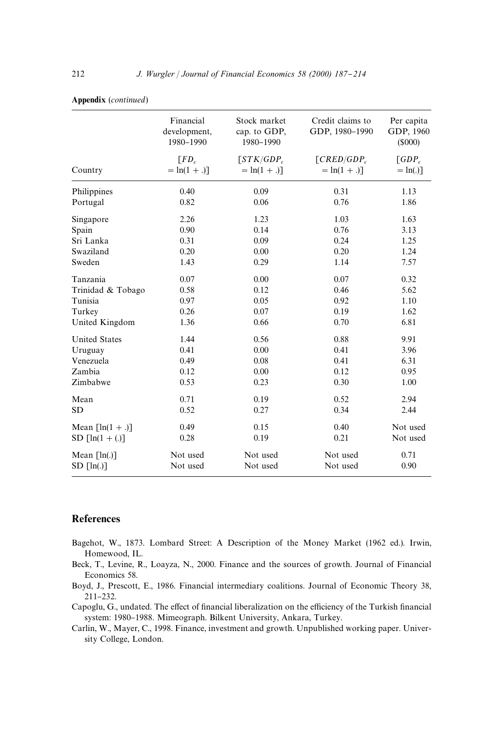| Country                            | Financial<br>development,<br>1980-1990<br>$\lceil FD_c \rceil$<br>$= ln(1 + .)$ ] | Stock market<br>cap. to GDP,<br>1980-1990<br>$STK/GDP_c$<br>$= \ln(1 + .)$ ] | Credit claims to<br>GDP, 1980-1990<br>$\lceil$ CRED/GDP $_c$<br>$=$ ln(1 + .)] | Per capita<br>GDP, 1960<br>(S000)<br>$\lceil GDP_c \rceil$<br>$=$ ln(.)] |
|------------------------------------|-----------------------------------------------------------------------------------|------------------------------------------------------------------------------|--------------------------------------------------------------------------------|--------------------------------------------------------------------------|
|                                    |                                                                                   |                                                                              |                                                                                |                                                                          |
| Portugal                           | 0.82                                                                              | 0.06                                                                         | 0.76                                                                           | 1.86                                                                     |
| Singapore                          | 2.26                                                                              | 1.23                                                                         | 1.03                                                                           | 1.63                                                                     |
| Spain                              | 0.90                                                                              | 0.14                                                                         | 0.76                                                                           | 3.13                                                                     |
| Sri Lanka                          | 0.31                                                                              | 0.09                                                                         | 0.24                                                                           | 1.25                                                                     |
| Swaziland                          | 0.20                                                                              | 0.00                                                                         | 0.20                                                                           | 1.24                                                                     |
| Sweden                             | 1.43                                                                              | 0.29                                                                         | 1.14                                                                           | 7.57                                                                     |
| Tanzania                           | 0.07                                                                              | 0.00                                                                         | 0.07                                                                           | 0.32                                                                     |
| Trinidad & Tobago                  | 0.58                                                                              | 0.12                                                                         | 0.46                                                                           | 5.62                                                                     |
| Tunisia                            | 0.97                                                                              | 0.05                                                                         | 0.92                                                                           | 1.10                                                                     |
| Turkey                             | 0.26                                                                              | 0.07                                                                         | 0.19                                                                           | 1.62                                                                     |
| United Kingdom                     | 1.36                                                                              | 0.66                                                                         | 0.70                                                                           | 6.81                                                                     |
| <b>United States</b>               | 1.44                                                                              | 0.56                                                                         | 0.88                                                                           | 9.91                                                                     |
| Uruguay                            | 0.41                                                                              | 0.00                                                                         | 0.41                                                                           | 3.96                                                                     |
| Venezuela                          | 0.49                                                                              | 0.08                                                                         | 0.41                                                                           | 6.31                                                                     |
| Zambia                             | 0.12                                                                              | 0.00                                                                         | 0.12                                                                           | 0.95                                                                     |
| Zimbabwe                           | 0.53                                                                              | 0.23                                                                         | 0.30                                                                           | 1.00                                                                     |
| Mean                               | 0.71                                                                              | 0.19                                                                         | 0.52                                                                           | 2.94                                                                     |
| <b>SD</b>                          | 0.52                                                                              | 0.27                                                                         | 0.34                                                                           | 2.44                                                                     |
| Mean $\lceil \ln(1 + .) \rceil$    | 0.49                                                                              | 0.15                                                                         | 0.40                                                                           | Not used                                                                 |
| SD $\lceil \ln(1 + \ldots) \rceil$ | 0.28                                                                              | 0.19                                                                         | 0.21                                                                           | Not used                                                                 |
| Mean $\lceil \ln(.) \rceil$        | Not used                                                                          | Not used                                                                     | Not used                                                                       | 0.71                                                                     |
| $SD \lceil ln(.) \rceil$           | Not used                                                                          | Not used                                                                     | Not used                                                                       | 0.90                                                                     |

#### Appendix (*continued*)

#### References

- Bagehot, W., 1873. Lombard Street: A Description of the Money Market (1962 ed.). Irwin, Homewood, IL.
- Beck, T., Levine, R., Loayza, N., 2000. Finance and the sources of growth. Journal of Financial Economics 58.
- Boyd, J., Prescott, E., 1986. Financial intermediary coalitions. Journal of Economic Theory 38, 211-232.
- Capoglu, G., undated. The effect of financial liberalization on the efficiency of the Turkish financial system: 1980-1988. Mimeograph. Bilkent University, Ankara, Turkey.
- Carlin, W., Mayer, C., 1998. Finance, investment and growth. Unpublished working paper. University College, London.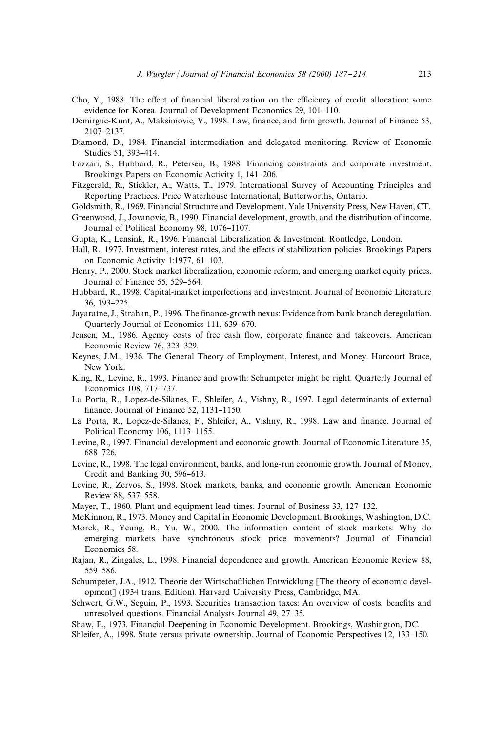- Cho, Y., 1988. The effect of financial liberalization on the efficiency of credit allocation: some evidence for Korea. Journal of Development Economics 29, 101-110.
- Demirguc-Kunt, A., Maksimovic, V., 1998. Law, finance, and firm growth. Journal of Finance 53, 2107-2137.
- Diamond, D., 1984. Financial intermediation and delegated monitoring. Review of Economic Studies 51, 393-414.
- Fazzari, S., Hubbard, R., Petersen, B., 1988. Financing constraints and corporate investment. Brookings Papers on Economic Activity 1, 141-206.
- Fitzgerald, R., Stickler, A., Watts, T., 1979. International Survey of Accounting Principles and Reporting Practices. Price Waterhouse International, Butterworths, Ontario.
- Goldsmith, R., 1969. Financial Structure and Development. Yale University Press, New Haven, CT.
- Greenwood, J., Jovanovic, B., 1990. Financial development, growth, and the distribution of income. Journal of Political Economy 98, 1076-1107.
- Gupta, K., Lensink, R., 1996. Financial Liberalization  $\&$  Investment. Routledge, London.
- Hall, R., 1977. Investment, interest rates, and the effects of stabilization policies. Brookings Papers on Economic Activity 1:1977, 61-103.
- Henry, P., 2000. Stock market liberalization, economic reform, and emerging market equity prices. Journal of Finance 55, 529–564.
- Hubbard, R., 1998. Capital-market imperfections and investment. Journal of Economic Literature 36, 193-225.
- Jayaratne, J., Strahan, P., 1996. The finance-growth nexus: Evidence from bank branch deregulation. Quarterly Journal of Economics 111, 639-670.
- Jensen, M., 1986. Agency costs of free cash flow, corporate finance and takeovers. American Economic Review 76, 323-329.
- Keynes, J.M., 1936. The General Theory of Employment, Interest, and Money. Harcourt Brace, New York.
- King, R., Levine, R., 1993. Finance and growth: Schumpeter might be right. Quarterly Journal of Economics 108, 717-737.
- La Porta, R., Lopez-de-Silanes, F., Shleifer, A., Vishny, R., 1997. Legal determinants of external finance. Journal of Finance  $52$ ,  $1131-1150$ .
- La Porta, R., Lopez-de-Silanes, F., Shleifer, A., Vishny, R., 1998. Law and finance. Journal of Political Economy 106, 1113-1155.
- Levine, R., 1997. Financial development and economic growth. Journal of Economic Literature 35, 688-726.
- Levine, R., 1998. The legal environment, banks, and long-run economic growth. Journal of Money, Credit and Banking 30,  $596-613$ .
- Levine, R., Zervos, S., 1998. Stock markets, banks, and economic growth. American Economic Review 88, 537-558.
- Mayer, T., 1960. Plant and equipment lead times. Journal of Business 33, 127–132.
- McKinnon, R., 1973. Money and Capital in Economic Development. Brookings, Washington, D.C.
- Morck, R., Yeung, B., Yu, W., 2000. The information content of stock markets: Why do emerging markets have synchronous stock price movements? Journal of Financial Economics 58.
- Rajan, R., Zingales, L., 1998. Financial dependence and growth. American Economic Review 88, 559-586.
- Schumpeter, J.A., 1912. Theorie der Wirtschaftlichen Entwicklung [The theory of economic development] (1934 trans. Edition). Harvard University Press, Cambridge, MA.
- Schwert, G.W., Seguin, P., 1993. Securities transaction taxes: An overview of costs, benefits and unresolved questions. Financial Analysts Journal 49, 27-35.
- Shaw, E., 1973. Financial Deepening in Economic Development. Brookings, Washington, DC.
- Shleifer, A., 1998. State versus private ownership. Journal of Economic Perspectives 12, 133–150.